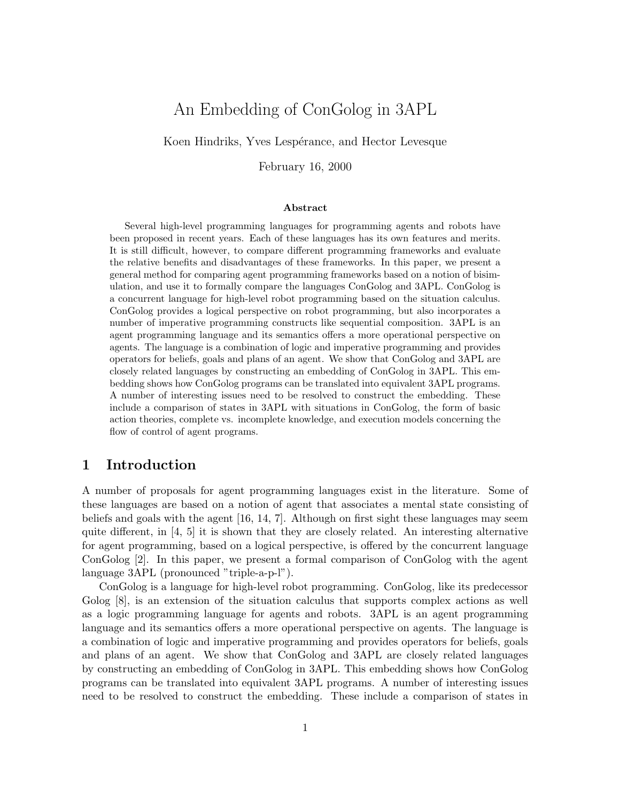# An Embedding of ConGolog in 3APL

Koen Hindriks, Yves Lespérance, and Hector Levesque

February 16, 2000

#### Abstract

Several high-level programming languages for programming agents and robots have been proposed in recent years. Each of these languages has its own features and merits. It is still difficult, however, to compare different programming frameworks and evaluate the relative benefits and disadvantages of these frameworks. In this paper, we present a general method for comparing agent programming frameworks based on a notion of bisimulation, and use it to formally compare the languages ConGolog and 3APL. ConGolog is a concurrent language for high-level robot programming based on the situation calculus. ConGolog provides a logical perspective on robot programming, but also incorporates a number of imperative programming constructs like sequential composition. 3APL is an agent programming language and its semantics offers a more operational perspective on agents. The language is a combination of logic and imperative programming and provides operators for beliefs, goals and plans of an agent. We show that ConGolog and 3APL are closely related languages by constructing an embedding of ConGolog in 3APL. This embedding shows how ConGolog programs can be translated into equivalent 3APL programs. A number of interesting issues need to be resolved to construct the embedding. These include a comparison of states in 3APL with situations in ConGolog, the form of basic action theories, complete vs. incomplete knowledge, and execution models concerning the flow of control of agent programs.

# 1 Introduction

A number of proposals for agent programming languages exist in the literature. Some of these languages are based on a notion of agent that associates a mental state consisting of beliefs and goals with the agent [16, 14, 7]. Although on first sight these languages may seem quite different, in  $\left[4, 5\right]$  it is shown that they are closely related. An interesting alternative for agent programming, based on a logical perspective, is offered by the concurrent language ConGolog [2]. In this paper, we present a formal comparison of ConGolog with the agent language 3APL (pronounced "triple-a-p-l").

ConGolog is a language for high-level robot programming. ConGolog, like its predecessor Golog [8], is an extension of the situation calculus that supports complex actions as well as a logic programming language for agents and robots. 3APL is an agent programming language and its semantics offers a more operational perspective on agents. The language is a combination of logic and imperative programming and provides operators for beliefs, goals and plans of an agent. We show that ConGolog and 3APL are closely related languages by constructing an embedding of ConGolog in 3APL. This embedding shows how ConGolog programs can be translated into equivalent 3APL programs. A number of interesting issues need to be resolved to construct the embedding. These include a comparison of states in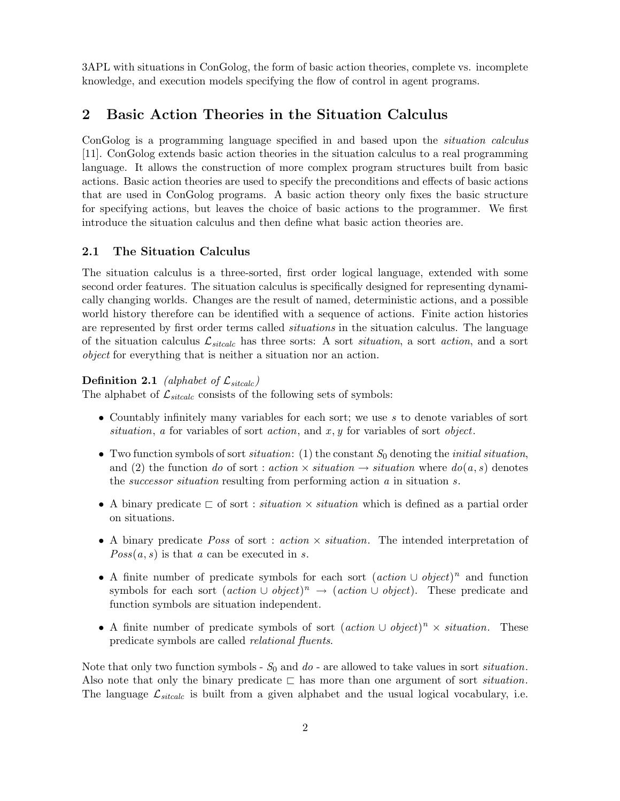3APL with situations in ConGolog, the form of basic action theories, complete vs. incomplete knowledge, and execution models specifying the flow of control in agent programs.

# 2 Basic Action Theories in the Situation Calculus

ConGolog is a programming language specified in and based upon the *situation calculus* [11]. ConGolog extends basic action theories in the situation calculus to a real programming language. It allows the construction of more complex program structures built from basic actions. Basic action theories are used to specify the preconditions and effects of basic actions that are used in ConGolog programs. A basic action theory only fixes the basic structure for specifying actions, but leaves the choice of basic actions to the programmer. We first introduce the situation calculus and then define what basic action theories are.

### 2.1 The Situation Calculus

The situation calculus is a three-sorted, first order logical language, extended with some second order features. The situation calculus is specifically designed for representing dynamically changing worlds. Changes are the result of named, deterministic actions, and a possible world history therefore can be identified with a sequence of actions. Finite action histories are represented by first order terms called *situations* in the situation calculus. The language of the situation calculus  $\mathcal{L}_{stcalc}$  has three sorts: A sort *situation*, a sort *action*, and a sort object for everything that is neither a situation nor an action.

### **Definition 2.1** (alphabet of  $\mathcal{L}_{\text{sticalc}}$ )

The alphabet of  $\mathcal{L}_{\text{sticalc}}$  consists of the following sets of symbols:

- Countably infinitely many variables for each sort; we use s to denote variables of sort situation, a for variables of sort action, and  $x, y$  for variables of sort object.
- Two function symbols of sort *situation*: (1) the constant  $S_0$  denoting the *initial situation*, and (2) the function do of sort : action  $\times$  situation  $\rightarrow$  situation where  $do(a, s)$  denotes the successor situation resulting from performing action a in situation s.
- A binary predicate  $\Box$  of sort : *situation*  $\times$  *situation* which is defined as a partial order on situations.
- A binary predicate *Poss* of sort : *action*  $\times$  *situation*. The intended interpretation of  $Poss(a, s)$  is that a can be executed in s.
- A finite number of predicate symbols for each sort  $(\text{action} \cup \text{object})^n$  and function symbols for each sort  $(\text{action} \cup \text{object})^n \rightarrow (\text{action} \cup \text{object})$ . These predicate and function symbols are situation independent.
- A finite number of predicate symbols of sort  $(\text{action} \cup \text{object})^n \times \text{ situation.}$  These predicate symbols are called relational fluents.

Note that only two function symbols -  $S_0$  and  $do$  - are allowed to take values in sort *situation*. Also note that only the binary predicate  $\Box$  has more than one argument of sort *situation*. The language  $\mathcal{L}_{\text{stcalc}}$  is built from a given alphabet and the usual logical vocabulary, i.e.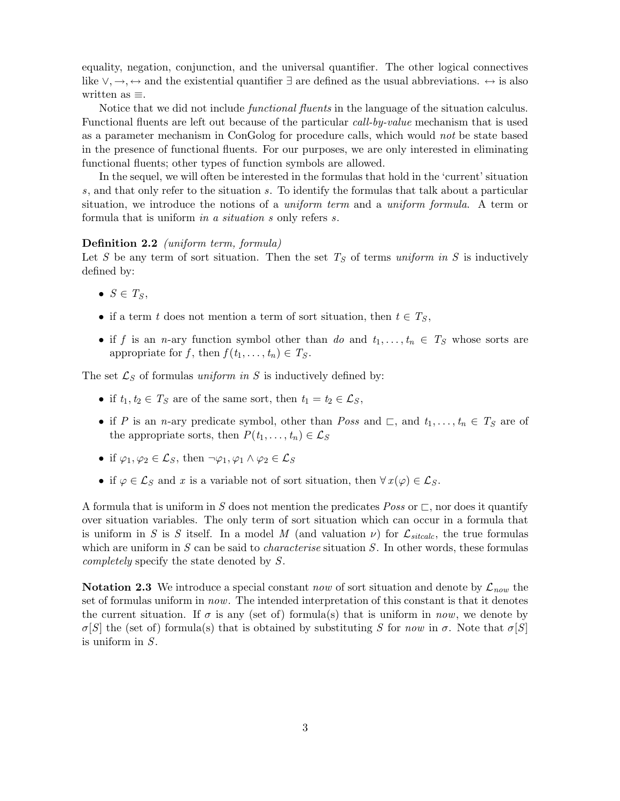equality, negation, conjunction, and the universal quantifier. The other logical connectives like  $\vee, \rightarrow, \leftrightarrow$  and the existential quantifier  $\exists$  are defined as the usual abbreviations.  $\leftrightarrow$  is also written as ≡.

Notice that we did not include *functional fluents* in the language of the situation calculus. Functional fluents are left out because of the particular call-by-value mechanism that is used as a parameter mechanism in ConGolog for procedure calls, which would not be state based in the presence of functional fluents. For our purposes, we are only interested in eliminating functional fluents; other types of function symbols are allowed.

In the sequel, we will often be interested in the formulas that hold in the 'current' situation s, and that only refer to the situation s. To identify the formulas that talk about a particular situation, we introduce the notions of a *uniform term* and a *uniform formula*. A term or formula that is uniform in a situation s only refers s.

### Definition 2.2 (uniform term, formula)

Let S be any term of sort situation. Then the set  $T<sub>S</sub>$  of terms uniform in S is inductively defined by:

- $S \in T_S$ ,
- if a term t does not mention a term of sort situation, then  $t \in T_S$ ,
- if f is an n-ary function symbol other than do and  $t_1, \ldots, t_n \in T_S$  whose sorts are appropriate for f, then  $f(t_1, \ldots, t_n) \in T_S$ .

The set  $\mathcal{L}_S$  of formulas uniform in S is inductively defined by:

- if  $t_1, t_2 \in T_S$  are of the same sort, then  $t_1 = t_2 \in \mathcal{L}_S$ ,
- if P is an n-ary predicate symbol, other than Poss and  $\sqsubset$ , and  $t_1, \ldots, t_n \in T_S$  are of the appropriate sorts, then  $P(t_1, \ldots, t_n) \in \mathcal{L}_S$
- if  $\varphi_1, \varphi_2 \in \mathcal{L}_S$ , then  $\neg \varphi_1, \varphi_1 \wedge \varphi_2 \in \mathcal{L}_S$
- if  $\varphi \in \mathcal{L}_S$  and x is a variable not of sort situation, then  $\forall x(\varphi) \in \mathcal{L}_S$ .

A formula that is uniform in S does not mention the predicates Poss or  $\sqsubset$ , nor does it quantify over situation variables. The only term of sort situation which can occur in a formula that is uniform in S is S itself. In a model M (and valuation  $\nu$ ) for  $\mathcal{L}_{stcalc}$ , the true formulas which are uniform in S can be said to *characterise* situation S. In other words, these formulas completely specify the state denoted by S.

**Notation 2.3** We introduce a special constant now of sort situation and denote by  $\mathcal{L}_{now}$  the set of formulas uniform in now. The intended interpretation of this constant is that it denotes the current situation. If  $\sigma$  is any (set of) formula(s) that is uniform in now, we denote by σ[S] the (set of) formula(s) that is obtained by substituting S for now in σ. Note that  $\sigma$ [S] is uniform in S.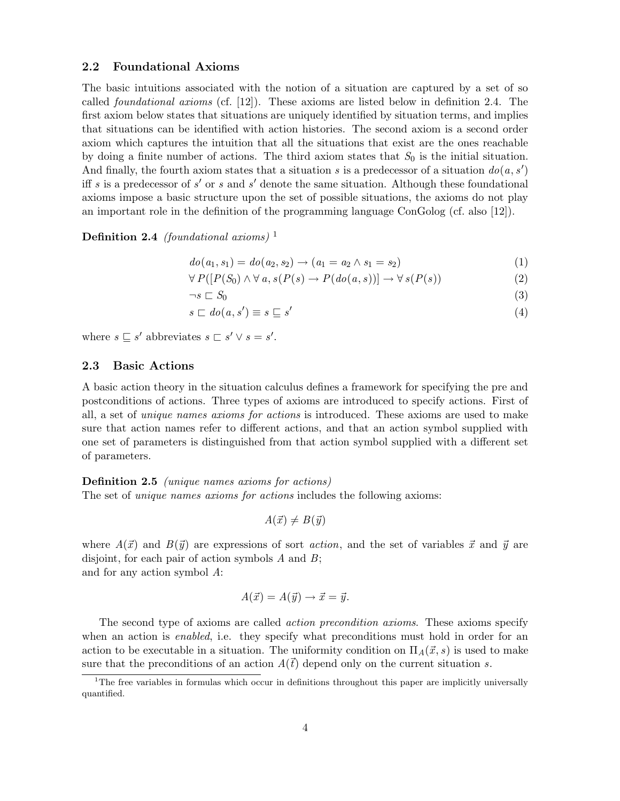### 2.2 Foundational Axioms

The basic intuitions associated with the notion of a situation are captured by a set of so called foundational axioms (cf. [12]). These axioms are listed below in definition 2.4. The first axiom below states that situations are uniquely identified by situation terms, and implies that situations can be identified with action histories. The second axiom is a second order axiom which captures the intuition that all the situations that exist are the ones reachable by doing a finite number of actions. The third axiom states that  $S_0$  is the initial situation. And finally, the fourth axiom states that a situation s is a predecessor of a situation  $do(a, s')$ iff s is a predecessor of s' or s and s' denote the same situation. Although these foundational axioms impose a basic structure upon the set of possible situations, the axioms do not play an important role in the definition of the programming language ConGolog (cf. also [12]).

**Definition 2.4** (foundational axioms)<sup>1</sup>

$$
do(a_1, s_1) = do(a_2, s_2) \to (a_1 = a_2 \land s_1 = s_2)
$$
\n(1)

$$
\forall P([P(S_0) \land \forall a, s(P(s) \to P(do(a, s))] \to \forall s(P(s))
$$
\n(2)

$$
\neg s \sqsubset S_0 \tag{3}
$$

$$
s \sqsubset do(a, s') \equiv s \sqsubseteq s'
$$
\n<sup>(4)</sup>

where  $s \sqsubseteq s'$  abbreviates  $s \sqsubset s' \vee s = s'$ .

### 2.3 Basic Actions

A basic action theory in the situation calculus defines a framework for specifying the pre and postconditions of actions. Three types of axioms are introduced to specify actions. First of all, a set of unique names axioms for actions is introduced. These axioms are used to make sure that action names refer to different actions, and that an action symbol supplied with one set of parameters is distinguished from that action symbol supplied with a different set of parameters.

Definition 2.5 (unique names axioms for actions) The set of unique names axioms for actions includes the following axioms:

$$
A(\vec{x}) \neq B(\vec{y})
$$

where  $A(\vec{x})$  and  $B(\vec{y})$  are expressions of sort *action*, and the set of variables  $\vec{x}$  and  $\vec{y}$  are disjoint, for each pair of action symbols  $A$  and  $B$ ; and for any action symbol A:

 $A(\vec{x}) = A(\vec{y}) \rightarrow \vec{x} = \vec{y}.$ 

The second type of axioms are called *action precondition axioms*. These axioms specify  
when an action is *enabled*, i.e. they specify what preconditions must hold in order for an  
action to be executable in a situation. The uniformity condition on 
$$
\Pi_A(\vec{x}, s)
$$
 is used to make  
sure that the preconditions of an action  $A(\vec{t})$  depend only on the current situation s.

<sup>&</sup>lt;sup>1</sup>The free variables in formulas which occur in definitions throughout this paper are implicitly universally quantified.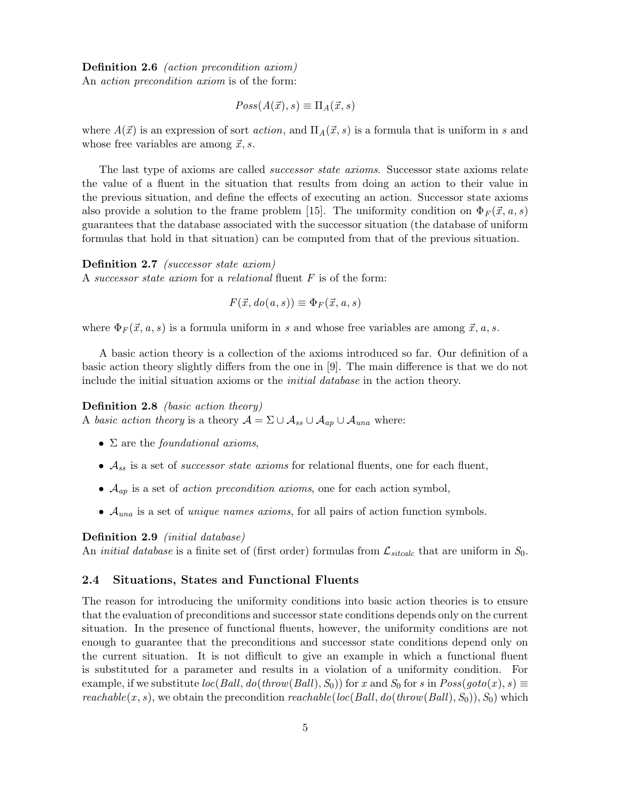## Definition 2.6 *(action precondition axiom)*

An action precondition axiom is of the form:

$$
Poss(A(\vec{x}),s) \equiv \Pi_A(\vec{x},s)
$$

where  $A(\vec{x})$  is an expression of sort *action*, and  $\Pi_A(\vec{x}, s)$  is a formula that is uniform in s and whose free variables are among  $\vec{x}, s$ .

The last type of axioms are called successor state axioms. Successor state axioms relate the value of a fluent in the situation that results from doing an action to their value in the previous situation, and define the effects of executing an action. Successor state axioms also provide a solution to the frame problem [15]. The uniformity condition on  $\Phi_F(\vec{x}, a, s)$ guarantees that the database associated with the successor situation (the database of uniform formulas that hold in that situation) can be computed from that of the previous situation.

Definition 2.7 *(successor state axiom)* A successor state axiom for a relational fluent  $F$  is of the form:

$$
F(\vec{x}, do(a, s)) \equiv \Phi_F(\vec{x}, a, s)
$$

where  $\Phi_F(\vec{x}, a, s)$  is a formula uniform in s and whose free variables are among  $\vec{x}, a, s$ .

A basic action theory is a collection of the axioms introduced so far. Our definition of a basic action theory slightly differs from the one in [9]. The main difference is that we do not include the initial situation axioms or the *initial database* in the action theory.

Definition 2.8 (basic action theory) A basic action theory is a theory  $\mathcal{A} = \Sigma \cup \mathcal{A}_{ss} \cup \mathcal{A}_{ap} \cup \mathcal{A}_{una}$  where:

- $\Sigma$  are the *foundational axioms*,
- $A_{ss}$  is a set of *successor state axioms* for relational fluents, one for each fluent,
- $\mathcal{A}_{ap}$  is a set of *action precondition axioms*, one for each action symbol,
- $A_{una}$  is a set of *unique names axioms*, for all pairs of action function symbols.

### Definition 2.9 (initial database)

An *initial database* is a finite set of (first order) formulas from  $\mathcal{L}_{stcalc}$  that are uniform in  $S_0$ .

### 2.4 Situations, States and Functional Fluents

The reason for introducing the uniformity conditions into basic action theories is to ensure that the evaluation of preconditions and successor state conditions depends only on the current situation. In the presence of functional fluents, however, the uniformity conditions are not enough to guarantee that the preconditions and successor state conditions depend only on the current situation. It is not difficult to give an example in which a functional fluent is substituted for a parameter and results in a violation of a uniformity condition. For example, if we substitute  $loc(Ball, do(throw(Ball), S_0))$  for x and  $S_0$  for s in  $Poss(goto(x), s) \equiv$ reachable(x, s), we obtain the precondition reachable(loc(Ball,  $do(throw(Ball), S_0)$ ),  $S_0$ ) which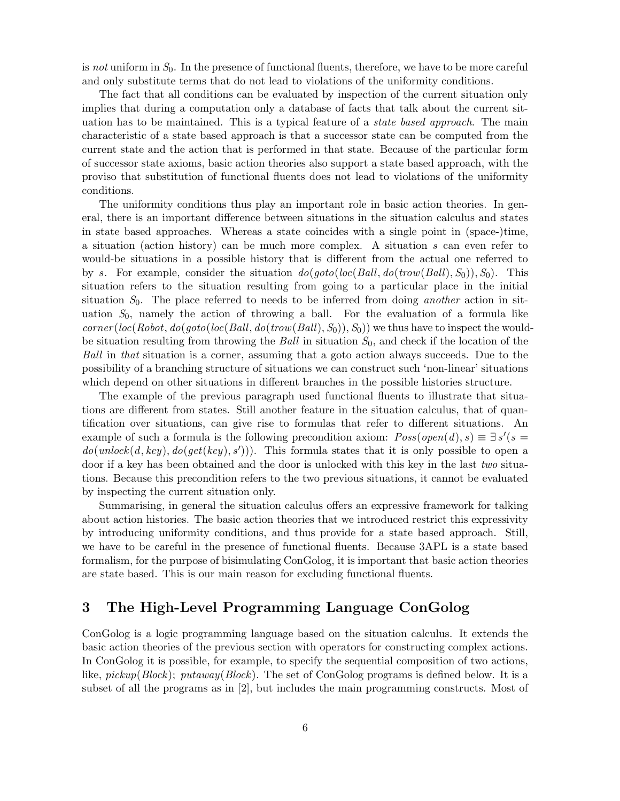is not uniform in  $S_0$ . In the presence of functional fluents, therefore, we have to be more careful and only substitute terms that do not lead to violations of the uniformity conditions.

The fact that all conditions can be evaluated by inspection of the current situation only implies that during a computation only a database of facts that talk about the current situation has to be maintained. This is a typical feature of a *state based approach*. The main characteristic of a state based approach is that a successor state can be computed from the current state and the action that is performed in that state. Because of the particular form of successor state axioms, basic action theories also support a state based approach, with the proviso that substitution of functional fluents does not lead to violations of the uniformity conditions.

The uniformity conditions thus play an important role in basic action theories. In general, there is an important difference between situations in the situation calculus and states in state based approaches. Whereas a state coincides with a single point in (space-)time, a situation (action history) can be much more complex. A situation  $s$  can even refer to would-be situations in a possible history that is different from the actual one referred to by s. For example, consider the situation  $do(goto(loc(Ball, do(trow(Ball), S_0)), S_0)$ . This situation refers to the situation resulting from going to a particular place in the initial situation  $S_0$ . The place referred to needs to be inferred from doing *another* action in situation  $S_0$ , namely the action of throwing a ball. For the evaluation of a formula like  $corner(loc(Robot, do(goto(loc(Ball, do(trow(Ball), S_0)), S_0))$  we thus have to inspect the wouldbe situation resulting from throwing the Ball in situation  $S_0$ , and check if the location of the Ball in that situation is a corner, assuming that a goto action always succeeds. Due to the possibility of a branching structure of situations we can construct such 'non-linear' situations which depend on other situations in different branches in the possible histories structure.

The example of the previous paragraph used functional fluents to illustrate that situations are different from states. Still another feature in the situation calculus, that of quantification over situations, can give rise to formulas that refer to different situations. An example of such a formula is the following precondition axiom:  $Poss(open(d), s) \equiv \exists s'(s =$  $do(unlock(d, key), do(get(key), s'))$ . This formula states that it is only possible to open a door if a key has been obtained and the door is unlocked with this key in the last two situations. Because this precondition refers to the two previous situations, it cannot be evaluated by inspecting the current situation only.

Summarising, in general the situation calculus offers an expressive framework for talking about action histories. The basic action theories that we introduced restrict this expressivity by introducing uniformity conditions, and thus provide for a state based approach. Still, we have to be careful in the presence of functional fluents. Because 3APL is a state based formalism, for the purpose of bisimulating ConGolog, it is important that basic action theories are state based. This is our main reason for excluding functional fluents.

# 3 The High-Level Programming Language ConGolog

ConGolog is a logic programming language based on the situation calculus. It extends the basic action theories of the previous section with operators for constructing complex actions. In ConGolog it is possible, for example, to specify the sequential composition of two actions, like, pickup(Block); putaway(Block). The set of ConGolog programs is defined below. It is a subset of all the programs as in [2], but includes the main programming constructs. Most of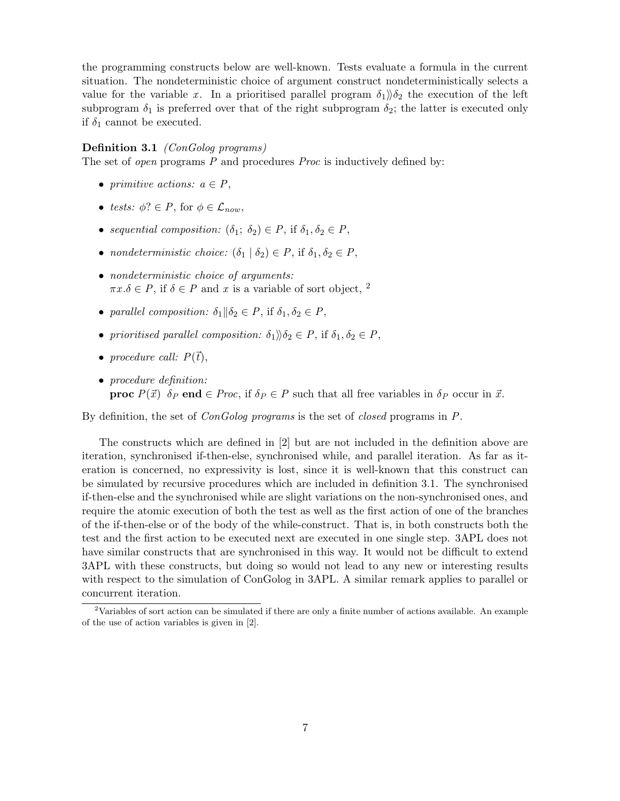the programming constructs below are well-known. Tests evaluate a formula in the current situation. The nondeterministic choice of argument construct nondeterministically selects a value for the variable x. In a prioritised parallel program  $\delta_1\ddot{\delta}_2$  the execution of the left subprogram  $\delta_1$  is preferred over that of the right subprogram  $\delta_2$ ; the latter is executed only if  $\delta_1$  cannot be executed.

#### Definition 3.1 (ConGolog programs)

The set of *open* programs  $P$  and procedures  $Proc$  is inductively defined by:

- primitive actions:  $a \in P$ ,
- tests:  $\phi$ ?  $\in$  P, for  $\phi \in \mathcal{L}_{now}$ ,
- sequential composition:  $(\delta_1; \delta_2) \in P$ , if  $\delta_1, \delta_2 \in P$ ,
- nondeterministic choice:  $(\delta_1 | \delta_2) \in P$ , if  $\delta_1, \delta_2 \in P$ ,
- nondeterministic choice of arguments:  $\pi x.\delta \in P$ , if  $\delta \in P$  and x is a variable of sort object, <sup>2</sup>
- parallel composition:  $\delta_1 || \delta_2 \in P$ , if  $\delta_1, \delta_2 \in P$ ,
- prioritised parallel composition:  $\delta_1 \mathcal{b}_2 \in P$ , if  $\delta_1, \delta_2 \in P$ ,
- procedure call:  $P(\vec{t})$ ,
- procedure definition: **proc**  $P(\vec{x})$   $\delta_P$  end  $\in$  Proc, if  $\delta_P \in P$  such that all free variables in  $\delta_P$  occur in  $\vec{x}$ .

By definition, the set of ConGolog programs is the set of closed programs in P.

The constructs which are defined in [2] but are not included in the definition above are iteration, synchronised if-then-else, synchronised while, and parallel iteration. As far as iteration is concerned, no expressivity is lost, since it is well-known that this construct can be simulated by recursive procedures which are included in definition 3.1. The synchronised if-then-else and the synchronised while are slight variations on the non-synchronised ones, and require the atomic execution of both the test as well as the first action of one of the branches of the if-then-else or of the body of the while-construct. That is, in both constructs both the test and the first action to be executed next are executed in one single step. 3APL does not have similar constructs that are synchronised in this way. It would not be difficult to extend 3APL with these constructs, but doing so would not lead to any new or interesting results with respect to the simulation of ConGolog in 3APL. A similar remark applies to parallel or concurrent iteration.

<sup>&</sup>lt;sup>2</sup>Variables of sort action can be simulated if there are only a finite number of actions available. An example of the use of action variables is given in [2].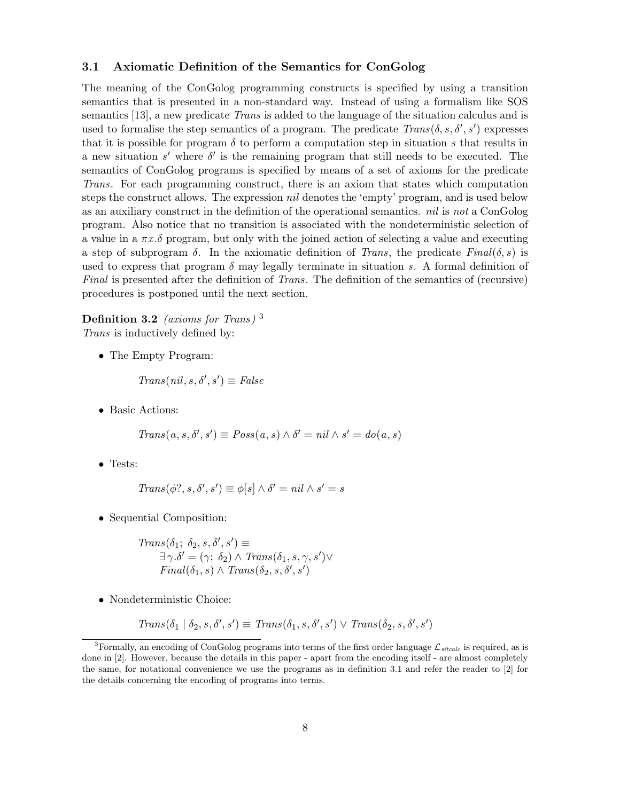### 3.1 Axiomatic Definition of the Semantics for ConGolog

The meaning of the ConGolog programming constructs is specified by using a transition semantics that is presented in a non-standard way. Instead of using a formalism like SOS semantics [13], a new predicate Trans is added to the language of the situation calculus and is used to formalise the step semantics of a program. The predicate  $Trans(\delta, s, \delta', s')$  expresses that it is possible for program  $\delta$  to perform a computation step in situation s that results in a new situation s' where  $\delta'$  is the remaining program that still needs to be executed. The semantics of ConGolog programs is specified by means of a set of axioms for the predicate Trans. For each programming construct, there is an axiom that states which computation steps the construct allows. The expression *nil* denotes the 'empty' program, and is used below as an auxiliary construct in the definition of the operational semantics. nil is not a ConGolog program. Also notice that no transition is associated with the nondeterministic selection of a value in a  $\pi x.\delta$  program, but only with the joined action of selecting a value and executing a step of subprogram  $\delta$ . In the axiomatic definition of Trans, the predicate Final( $\delta$ , s) is used to express that program  $\delta$  may legally terminate in situation s. A formal definition of Final is presented after the definition of Trans. The definition of the semantics of (recursive) procedures is postponed until the next section.

# Definition 3.2 (axioms for Trans)<sup>3</sup>

Trans is inductively defined by:

• The Empty Program:

$$
Trans(nil, s, \delta', s') \equiv False
$$

• Basic Actions:

$$
Trans(a, s, \delta', s') \equiv Poss(a, s) \land \delta' = nil \land s' = do(a, s)
$$

• Tests:

$$
Trans(\phi?, s, \delta', s') \equiv \phi[s] \land \delta' = nil \land s' = s
$$

• Sequential Composition:

$$
Trans(\delta_1; \delta_2, s, \delta', s') \equiv
$$
  
\n
$$
\exists \gamma. \delta' = (\gamma; \delta_2) \land Trans(\delta_1, s, \gamma, s') \lor
$$
  
\n
$$
Final(\delta_1, s) \land Trans(\delta_2, s, \delta', s')
$$

• Nondeterministic Choice:

 $Trans(\delta_1 | \delta_2, s, \delta', s') \equiv Trans(\delta_1, s, \delta', s') \lor Trans(\delta_2, s, \delta', s')$ 

<sup>&</sup>lt;sup>3</sup>Formally, an encoding of ConGolog programs into terms of the first order language  $\mathcal{L}_{stcalc}$  is required, as is done in [2]. However, because the details in this paper - apart from the encoding itself - are almost completely the same, for notational convenience we use the programs as in definition 3.1 and refer the reader to [2] for the details concerning the encoding of programs into terms.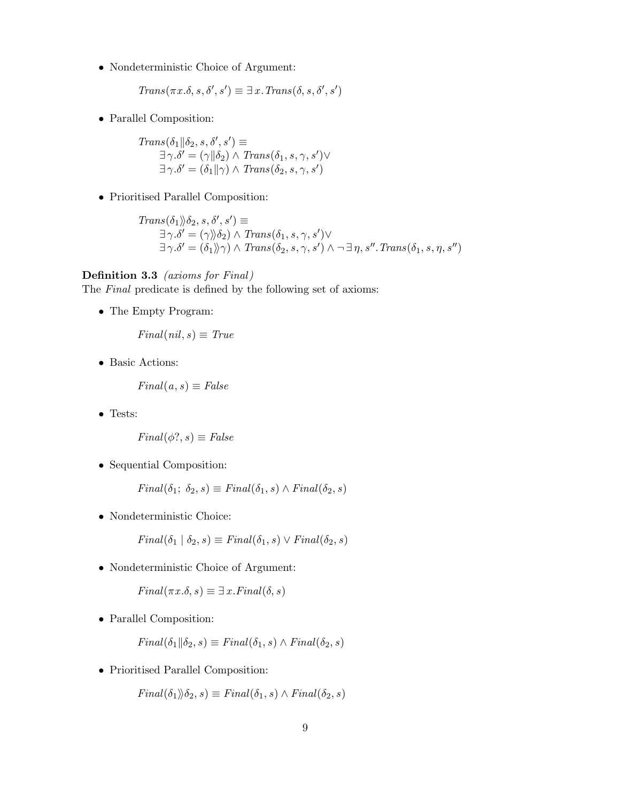• Nondeterministic Choice of Argument:

 $Trans(\pi x.\delta, s, \delta', s') \equiv \exists x. Trans(\delta, s, \delta', s')$ 

• Parallel Composition:

 $Trans(\delta_1 || \delta_2, s, \delta', s') \equiv$  $\exists \gamma.\delta' = (\gamma || \delta_2) \wedge Trans(\delta_1, s, \gamma, s') \vee$  $\exists \gamma.\delta' = (\delta_1 || \gamma) \land Trans(\delta_2, s, \gamma, s')$ 

• Prioritised Parallel Composition:

 $Trans(\delta_1) \rangle \delta_2, s, \delta', s') \equiv$  $\exists \gamma.\delta' = (\gamma \rangle \delta_2) \wedge Trans(\delta_1, s, \gamma, s') \vee$  $\exists \gamma.\delta' = (\delta_1) \rangle \gamma$ )  $\land$  Trans $(\delta_2, s, \gamma, s')$   $\land \neg \exists \eta, s''.$ Trans $(\delta_1, s, \eta, s'')$ 

### Definition 3.3 (axioms for Final)

The Final predicate is defined by the following set of axioms:

• The Empty Program:

 $Final(nil, s) \equiv True$ 

• Basic Actions:

 $Final(a, s) \equiv False$ 

• Tests:

$$
Final(\phi?, s) \equiv False
$$

• Sequential Composition:

 $Final(\delta_1; \delta_2, s) \equiv Final(\delta_1, s) \wedge Final(\delta_2, s)$ 

• Nondeterministic Choice:

 $Final(\delta_1 | \delta_2, s) \equiv Final(\delta_1, s) \vee Final(\delta_2, s)$ 

• Nondeterministic Choice of Argument:

 $Final(\pi x.\delta, s) \equiv \exists x. Final(\delta, s)$ 

• Parallel Composition:

$$
Final(\delta_1 \| \delta_2, s) \equiv Final(\delta_1, s) \land Final(\delta_2, s)
$$

• Prioritised Parallel Composition:

 $Final(\delta_1)\rangle \delta_2, s) \equiv Final(\delta_1, s) \wedge Final(\delta_2, s)$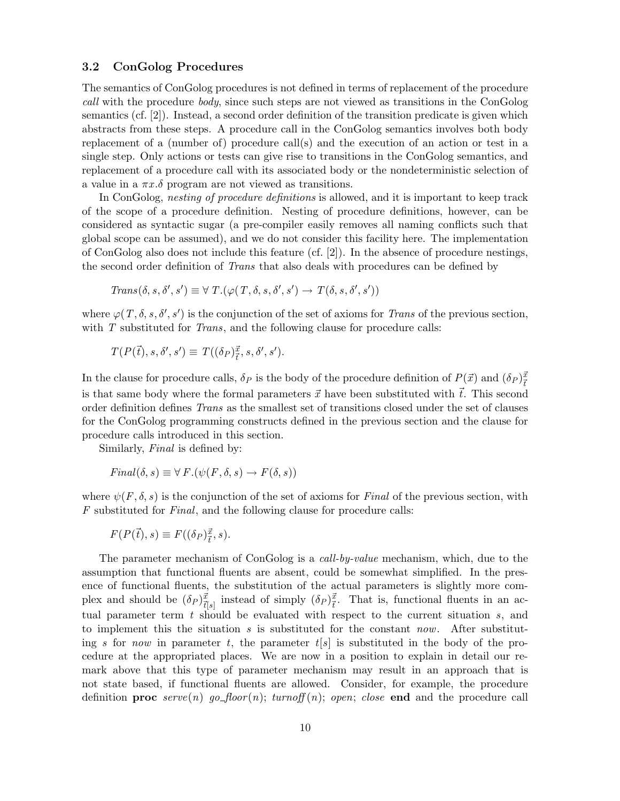### 3.2 ConGolog Procedures

The semantics of ConGolog procedures is not defined in terms of replacement of the procedure call with the procedure body, since such steps are not viewed as transitions in the ConGolog semantics (cf. [2]). Instead, a second order definition of the transition predicate is given which abstracts from these steps. A procedure call in the ConGolog semantics involves both body replacement of a (number of) procedure call(s) and the execution of an action or test in a single step. Only actions or tests can give rise to transitions in the ConGolog semantics, and replacement of a procedure call with its associated body or the nondeterministic selection of a value in a  $\pi x.\delta$  program are not viewed as transitions.

In ConGolog, *nesting of procedure definitions* is allowed, and it is important to keep track of the scope of a procedure definition. Nesting of procedure definitions, however, can be considered as syntactic sugar (a pre-compiler easily removes all naming conflicts such that global scope can be assumed), and we do not consider this facility here. The implementation of ConGolog also does not include this feature (cf. [2]). In the absence of procedure nestings, the second order definition of *Trans* that also deals with procedures can be defined by

$$
Trans(\delta, s, \delta', s') \equiv \forall T. (\varphi(T, \delta, s, \delta', s') \rightarrow T(\delta, s, \delta', s'))
$$

where  $\varphi(T, \delta, s, \delta', s')$  is the conjunction of the set of axioms for Trans of the previous section, with  $T$  substituted for *Trans*, and the following clause for procedure calls:

$$
T(P(\vec{t}), s, \delta', s') \equiv T((\delta_P)^{\vec{x}}_{\vec{t}}, s, \delta', s').
$$

In the clause for procedure calls,  $\delta_P$  is the body of the procedure definition of  $P(\vec{x})$  and  $(\delta_P)^{\vec{x}}_{\vec{t}}$ is that same body where the formal parameters  $\vec{x}$  have been substituted with  $\vec{t}$ . This second order definition defines Trans as the smallest set of transitions closed under the set of clauses for the ConGolog programming constructs defined in the previous section and the clause for procedure calls introduced in this section.

Similarly, *Final* is defined by:

$$
Final(\delta, s) \equiv \forall F.(\psi(F, \delta, s) \rightarrow F(\delta, s))
$$

where  $\psi(F, \delta, s)$  is the conjunction of the set of axioms for Final of the previous section, with F substituted for Final, and the following clause for procedure calls:

$$
F(P(\vec{t}), s) \equiv F((\delta_P)^{\vec{x}}_{\vec{t}}, s).
$$

The parameter mechanism of ConGolog is a call-by-value mechanism, which, due to the assumption that functional fluents are absent, could be somewhat simplified. In the presence of functional fluents, the substitution of the actual parameters is slightly more complex and should be  $(\delta_P)^{\vec{x}}_{\vec{t}[s]}$  instead of simply  $(\delta_P)^{\vec{x}}_{\vec{t}}$ . That is, functional fluents in an actual parameter term  $t$  should be evaluated with respect to the current situation  $s$ , and to implement this the situation  $s$  is substituted for the constant now. After substituting s for now in parameter t, the parameter  $t[s]$  is substituted in the body of the procedure at the appropriated places. We are now in a position to explain in detail our remark above that this type of parameter mechanism may result in an approach that is not state based, if functional fluents are allowed. Consider, for example, the procedure definition **proc** serve(n) go-floor(n); turnoff(n); open; close end and the procedure call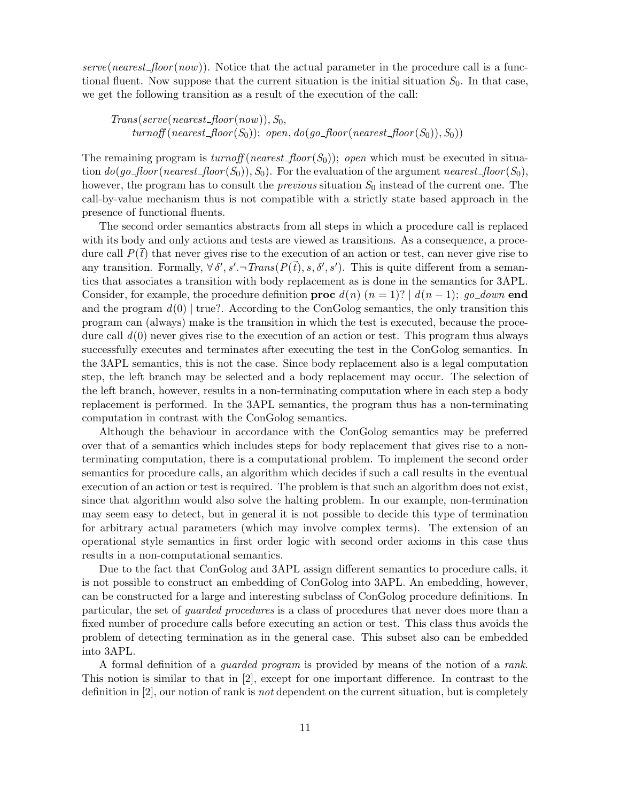serve(nearest\_floor(now)). Notice that the actual parameter in the procedure call is a functional fluent. Now suppose that the current situation is the initial situation  $S_0$ . In that case, we get the following transition as a result of the execution of the call:

 $Trans(serve(nearest\_floor(now)), S_0,$  $turnoff(nearest\_floor(S_0)); \ open, do(go\_floor(nearest\_floor(S_0)), S_0))$ 

The remaining program is  $turnoff(nearest\_floor(S_0));$  open which must be executed in situation  $do(go\text{-}floor(nearest\text{-}floor(S_0)), S_0)$ . For the evaluation of the argument nearest  $floor(S_0)$ , however, the program has to consult the *previous* situation  $S_0$  instead of the current one. The call-by-value mechanism thus is not compatible with a strictly state based approach in the presence of functional fluents.

The second order semantics abstracts from all steps in which a procedure call is replaced with its body and only actions and tests are viewed as transitions. As a consequence, a procedure call  $P(t)$  that never gives rise to the execution of an action or test, can never give rise to any transition. Formally,  $\forall \delta', s'.\neg Trans(P(\vec{t}), s, \delta', s')$ . This is quite different from a semantics that associates a transition with body replacement as is done in the semantics for 3APL. Consider, for example, the procedure definition **proc**  $d(n)$  ( $n = 1$ )? |  $d(n-1)$ ; go\_down end and the program  $d(0)$  true?. According to the ConGolog semantics, the only transition this program can (always) make is the transition in which the test is executed, because the procedure call  $d(0)$  never gives rise to the execution of an action or test. This program thus always successfully executes and terminates after executing the test in the ConGolog semantics. In the 3APL semantics, this is not the case. Since body replacement also is a legal computation step, the left branch may be selected and a body replacement may occur. The selection of the left branch, however, results in a non-terminating computation where in each step a body replacement is performed. In the 3APL semantics, the program thus has a non-terminating computation in contrast with the ConGolog semantics.

Although the behaviour in accordance with the ConGolog semantics may be preferred over that of a semantics which includes steps for body replacement that gives rise to a nonterminating computation, there is a computational problem. To implement the second order semantics for procedure calls, an algorithm which decides if such a call results in the eventual execution of an action or test is required. The problem is that such an algorithm does not exist, since that algorithm would also solve the halting problem. In our example, non-termination may seem easy to detect, but in general it is not possible to decide this type of termination for arbitrary actual parameters (which may involve complex terms). The extension of an operational style semantics in first order logic with second order axioms in this case thus results in a non-computational semantics.

Due to the fact that ConGolog and 3APL assign different semantics to procedure calls, it is not possible to construct an embedding of ConGolog into 3APL. An embedding, however, can be constructed for a large and interesting subclass of ConGolog procedure definitions. In particular, the set of guarded procedures is a class of procedures that never does more than a fixed number of procedure calls before executing an action or test. This class thus avoids the problem of detecting termination as in the general case. This subset also can be embedded into 3APL.

A formal definition of a guarded program is provided by means of the notion of a rank. This notion is similar to that in [2], except for one important difference. In contrast to the definition in [2], our notion of rank is not dependent on the current situation, but is completely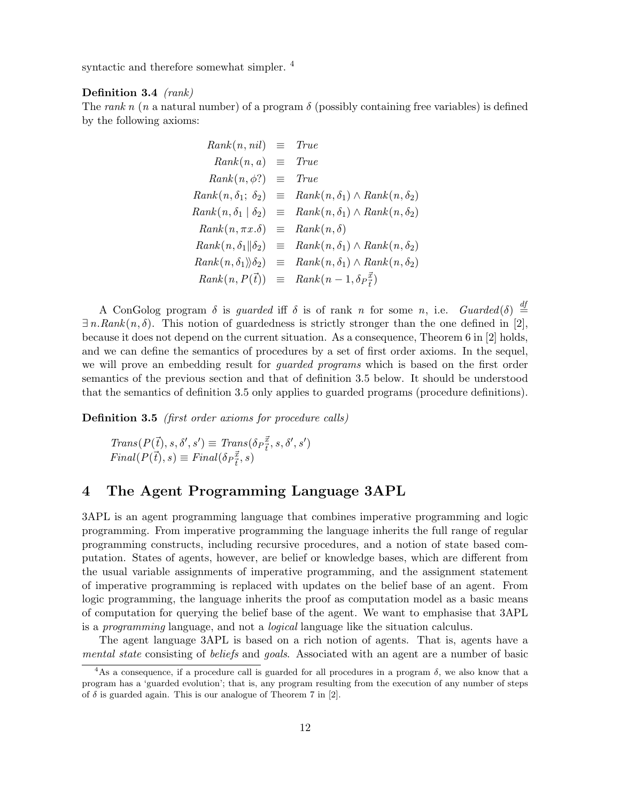syntactic and therefore somewhat simpler. <sup>4</sup>

#### Definition 3.4 (rank)

The rank n (n a natural number) of a program  $\delta$  (possibly containing free variables) is defined by the following axioms:

$$
Rank(n, nil) \equiv True
$$
  
\n
$$
Rank(n, \phi) \equiv True
$$
  
\n
$$
Rank(n, \delta_1) \equiv True
$$
  
\n
$$
Rank(n, \delta_1; \delta_2) \equiv Rank(n, \delta_1) \land Rank(n, \delta_2)
$$
  
\n
$$
Rank(n, \delta_1 | \delta_2) \equiv Rank(n, \delta_1) \land Rank(n, \delta_2)
$$
  
\n
$$
Rank(n, \pi x.\delta) \equiv Rank(n, \delta)
$$
  
\n
$$
Rank(n, \delta_1 || \delta_2) \equiv Rank(n, \delta_1) \land Rank(n, \delta_2)
$$
  
\n
$$
Rank(n, \delta_1) \land Bank(n, \delta_2)
$$
  
\n
$$
Rank(n, \delta_1) \land Rank(n, \delta_2)
$$
  
\n
$$
Rank(n, P(\vec{t})) \equiv Rank(n - 1, \delta_P \vec{t})
$$

A ConGolog program  $\delta$  is *guarded* iff  $\delta$  is of rank n for some n, i.e. *Guarded*( $\delta$ )  $\stackrel{df}{=}$  $\exists n.Rank(n, \delta)$ . This notion of guardedness is strictly stronger than the one defined in [2], because it does not depend on the current situation. As a consequence, Theorem 6 in [2] holds, and we can define the semantics of procedures by a set of first order axioms. In the sequel, we will prove an embedding result for *quarded programs* which is based on the first order semantics of the previous section and that of definition 3.5 below. It should be understood that the semantics of definition 3.5 only applies to guarded programs (procedure definitions).

Definition 3.5 *(first order axioms for procedure calls)* 

$$
Trans(P(\vec{t}), s, \delta', s') \equiv Trans(\delta_P \vec{\bar{t}}, s, \delta', s')
$$

$$
Final(P(\vec{t}), s) \equiv Final(\delta_P \vec{\bar{t}}, s)
$$

# 4 The Agent Programming Language 3APL

3APL is an agent programming language that combines imperative programming and logic programming. From imperative programming the language inherits the full range of regular programming constructs, including recursive procedures, and a notion of state based computation. States of agents, however, are belief or knowledge bases, which are different from the usual variable assignments of imperative programming, and the assignment statement of imperative programming is replaced with updates on the belief base of an agent. From logic programming, the language inherits the proof as computation model as a basic means of computation for querying the belief base of the agent. We want to emphasise that 3APL is a programming language, and not a logical language like the situation calculus.

The agent language 3APL is based on a rich notion of agents. That is, agents have a mental state consisting of *beliefs* and *goals*. Associated with an agent are a number of basic

<sup>&</sup>lt;sup>4</sup>As a consequence, if a procedure call is guarded for all procedures in a program  $\delta$ , we also know that a program has a 'guarded evolution'; that is, any program resulting from the execution of any number of steps of  $\delta$  is guarded again. This is our analogue of Theorem 7 in [2].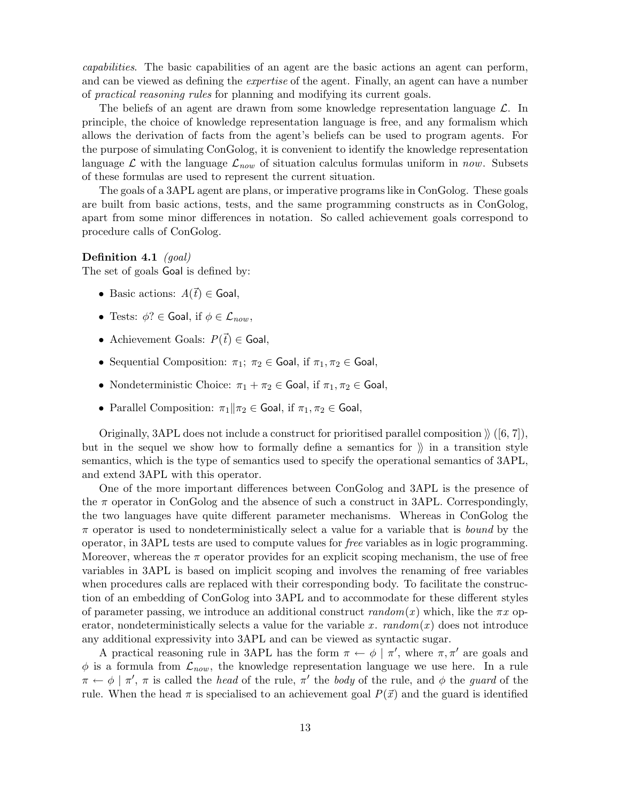capabilities. The basic capabilities of an agent are the basic actions an agent can perform, and can be viewed as defining the *expertise* of the agent. Finally, an agent can have a number of practical reasoning rules for planning and modifying its current goals.

The beliefs of an agent are drawn from some knowledge representation language  $\mathcal{L}$ . In principle, the choice of knowledge representation language is free, and any formalism which allows the derivation of facts from the agent's beliefs can be used to program agents. For the purpose of simulating ConGolog, it is convenient to identify the knowledge representation language  $\mathcal{L}$  with the language  $\mathcal{L}_{now}$  of situation calculus formulas uniform in now. Subsets of these formulas are used to represent the current situation.

The goals of a 3APL agent are plans, or imperative programs like in ConGolog. These goals are built from basic actions, tests, and the same programming constructs as in ConGolog, apart from some minor differences in notation. So called achievement goals correspond to procedure calls of ConGolog.

### Definition 4.1 (goal)

The set of goals Goal is defined by:

- Basic actions:  $A(\vec{t}) \in$  Goal,
- Tests:  $\phi$ ?  $\in$  Goal, if  $\phi \in \mathcal{L}_{now}$ ,
- Achievement Goals:  $P(\vec{t}) \in$  Goal,
- Sequential Composition:  $\pi_1$ ;  $\pi_2 \in$  Goal, if  $\pi_1, \pi_2 \in$  Goal,
- Nondeterministic Choice:  $\pi_1 + \pi_2 \in$  Goal, if  $\pi_1, \pi_2 \in$  Goal,
- Parallel Composition:  $\pi_1 || \pi_2 \in$  Goal, if  $\pi_1, \pi_2 \in$  Goal,

Originally, 3APL does not include a construct for prioritised parallel composition  $\mathcal{U}([6, 7])$ , but in the sequel we show how to formally define a semantics for  $\mathcal{V}$  in a transition style semantics, which is the type of semantics used to specify the operational semantics of 3APL, and extend 3APL with this operator.

One of the more important differences between ConGolog and 3APL is the presence of the  $\pi$  operator in ConGolog and the absence of such a construct in 3APL. Correspondingly, the two languages have quite different parameter mechanisms. Whereas in ConGolog the  $\pi$  operator is used to nondeterministically select a value for a variable that is *bound* by the operator, in 3APL tests are used to compute values for free variables as in logic programming. Moreover, whereas the  $\pi$  operator provides for an explicit scoping mechanism, the use of free variables in 3APL is based on implicit scoping and involves the renaming of free variables when procedures calls are replaced with their corresponding body. To facilitate the construction of an embedding of ConGolog into 3APL and to accommodate for these different styles of parameter passing, we introduce an additional construct  $random(x)$  which, like the  $\pi x$  operator, nondeterministically selects a value for the variable x.  $random(x)$  does not introduce any additional expressivity into 3APL and can be viewed as syntactic sugar.

A practical reasoning rule in 3APL has the form  $\pi \leftarrow \phi \mid \pi'$ , where  $\pi, \pi'$  are goals and  $\phi$  is a formula from  $\mathcal{L}_{now}$ , the knowledge representation language we use here. In a rule  $\pi \leftarrow \phi \mid \pi', \pi$  is called the *head* of the rule,  $\pi'$  the *body* of the rule, and  $\phi$  the *guard* of the rule. When the head  $\pi$  is specialised to an achievement goal  $P(\vec{x})$  and the guard is identified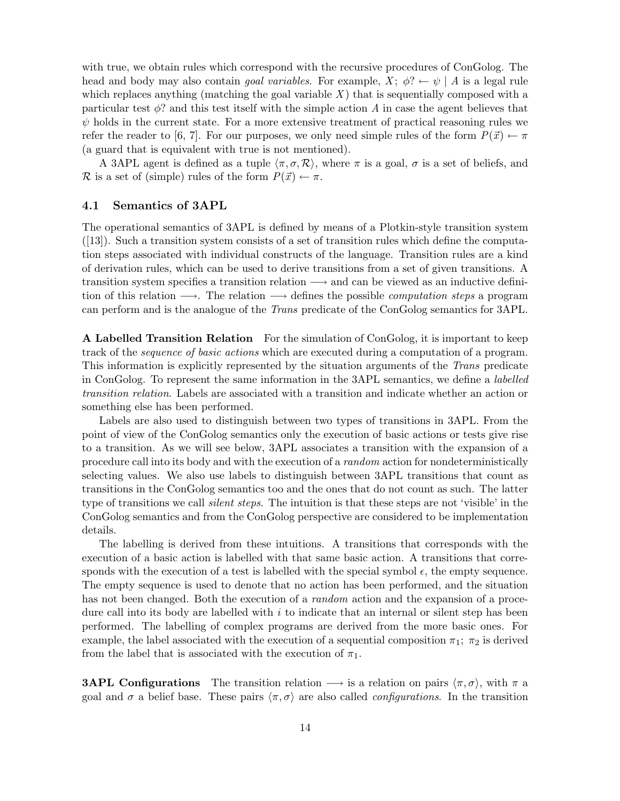with true, we obtain rules which correspond with the recursive procedures of ConGolog. The head and body may also contain *goal variables*. For example,  $X$ ;  $\phi$ ?  $\leftarrow \psi \mid A$  is a legal rule which replaces anything (matching the goal variable  $X$ ) that is sequentially composed with a particular test  $\phi$ ? and this test itself with the simple action A in case the agent believes that  $\psi$  holds in the current state. For a more extensive treatment of practical reasoning rules we refer the reader to [6, 7]. For our purposes, we only need simple rules of the form  $P(\vec{x}) \leftarrow \pi$ (a guard that is equivalent with true is not mentioned).

A 3APL agent is defined as a tuple  $\langle \pi, \sigma, \mathcal{R} \rangle$ , where  $\pi$  is a goal,  $\sigma$  is a set of beliefs, and R is a set of (simple) rules of the form  $P(\vec{x}) \leftarrow \pi$ .

### 4.1 Semantics of 3APL

The operational semantics of 3APL is defined by means of a Plotkin-style transition system  $([13])$ . Such a transition system consists of a set of transition rules which define the computation steps associated with individual constructs of the language. Transition rules are a kind of derivation rules, which can be used to derive transitions from a set of given transitions. A transition system specifies a transition relation −→ and can be viewed as an inductive definition of this relation  $\longrightarrow$ . The relation  $\longrightarrow$  defines the possible *computation steps* a program can perform and is the analogue of the Trans predicate of the ConGolog semantics for 3APL.

A Labelled Transition Relation For the simulation of ConGolog, it is important to keep track of the sequence of basic actions which are executed during a computation of a program. This information is explicitly represented by the situation arguments of the Trans predicate in ConGolog. To represent the same information in the 3APL semantics, we define a labelled transition relation. Labels are associated with a transition and indicate whether an action or something else has been performed.

Labels are also used to distinguish between two types of transitions in 3APL. From the point of view of the ConGolog semantics only the execution of basic actions or tests give rise to a transition. As we will see below, 3APL associates a transition with the expansion of a procedure call into its body and with the execution of a random action for nondeterministically selecting values. We also use labels to distinguish between 3APL transitions that count as transitions in the ConGolog semantics too and the ones that do not count as such. The latter type of transitions we call *silent steps*. The intuition is that these steps are not 'visible' in the ConGolog semantics and from the ConGolog perspective are considered to be implementation details.

The labelling is derived from these intuitions. A transitions that corresponds with the execution of a basic action is labelled with that same basic action. A transitions that corresponds with the execution of a test is labelled with the special symbol  $\epsilon$ , the empty sequence. The empty sequence is used to denote that no action has been performed, and the situation has not been changed. Both the execution of a *random* action and the expansion of a procedure call into its body are labelled with  $i$  to indicate that an internal or silent step has been performed. The labelling of complex programs are derived from the more basic ones. For example, the label associated with the execution of a sequential composition  $\pi_1$ ;  $\pi_2$  is derived from the label that is associated with the execution of  $\pi_1$ .

**3APL Configurations** The transition relation  $\rightarrow$  is a relation on pairs  $\langle \pi, \sigma \rangle$ , with  $\pi$  a goal and  $\sigma$  a belief base. These pairs  $\langle \pi, \sigma \rangle$  are also called *configurations*. In the transition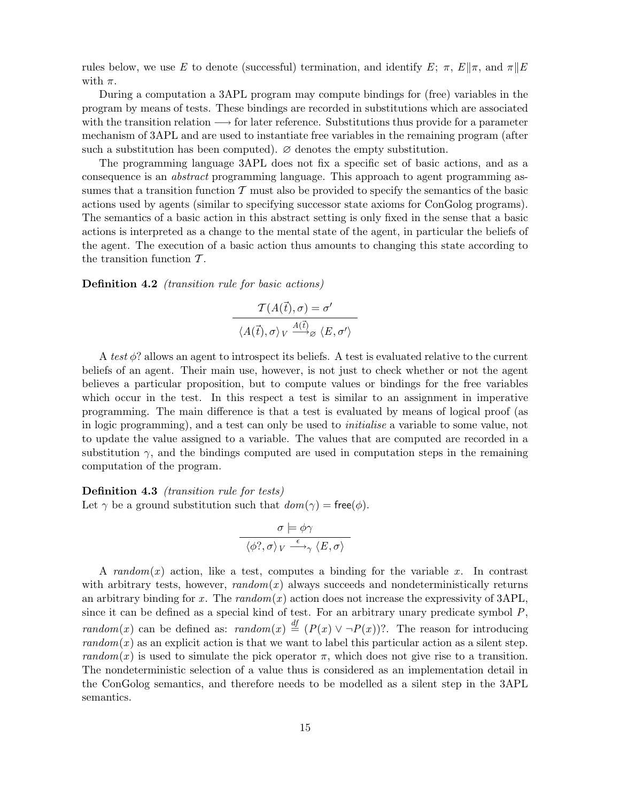rules below, we use E to denote (successful) termination, and identify E;  $\pi$ ,  $E\|\pi$ , and  $\pi\|E$ with  $\pi$ .

During a computation a 3APL program may compute bindings for (free) variables in the program by means of tests. These bindings are recorded in substitutions which are associated with the transition relation  $\longrightarrow$  for later reference. Substitutions thus provide for a parameter mechanism of 3APL and are used to instantiate free variables in the remaining program (after such a substitution has been computed).  $\varnothing$  denotes the empty substitution.

The programming language 3APL does not fix a specific set of basic actions, and as a consequence is an abstract programming language. This approach to agent programming assumes that a transition function  $\mathcal T$  must also be provided to specify the semantics of the basic actions used by agents (similar to specifying successor state axioms for ConGolog programs). The semantics of a basic action in this abstract setting is only fixed in the sense that a basic actions is interpreted as a change to the mental state of the agent, in particular the beliefs of the agent. The execution of a basic action thus amounts to changing this state according to the transition function  $\mathcal T$ .

Definition 4.2 (transition rule for basic actions)

$$
\frac{\mathcal{T}(A(\vec{t}), \sigma) = \sigma'}{\langle A(\vec{t}), \sigma \rangle_V \stackrel{A(\vec{t})}{\longrightarrow} \sigma \langle E, \sigma' \rangle}
$$

A test  $\phi$ ? allows an agent to introspect its beliefs. A test is evaluated relative to the current beliefs of an agent. Their main use, however, is not just to check whether or not the agent believes a particular proposition, but to compute values or bindings for the free variables which occur in the test. In this respect a test is similar to an assignment in imperative programming. The main difference is that a test is evaluated by means of logical proof (as in logic programming), and a test can only be used to initialise a variable to some value, not to update the value assigned to a variable. The values that are computed are recorded in a substitution  $\gamma$ , and the bindings computed are used in computation steps in the remaining computation of the program.

Definition 4.3 (transition rule for tests) Let  $\gamma$  be a ground substitution such that  $dom(\gamma) = free(\phi)$ .

$$
\sigma \models \phi \gamma
$$

$$
\langle \phi? , \sigma \rangle_V \stackrel{\epsilon}{\longrightarrow}_{\gamma} \langle E, \sigma \rangle
$$

A random(x) action, like a test, computes a binding for the variable x. In contrast with arbitrary tests, however,  $random(x)$  always succeeds and nondeterministically returns an arbitrary binding for x. The  $random(x)$  action does not increase the expressivity of 3APL, since it can be defined as a special kind of test. For an arbitrary unary predicate symbol  $P$ , random(x) can be defined as: random(x)  $\stackrel{df}{=} (P(x) \vee \neg P(x))$ ? The reason for introducing  $random(x)$  as an explicit action is that we want to label this particular action as a silent step. random(x) is used to simulate the pick operator  $\pi$ , which does not give rise to a transition. The nondeterministic selection of a value thus is considered as an implementation detail in the ConGolog semantics, and therefore needs to be modelled as a silent step in the 3APL semantics.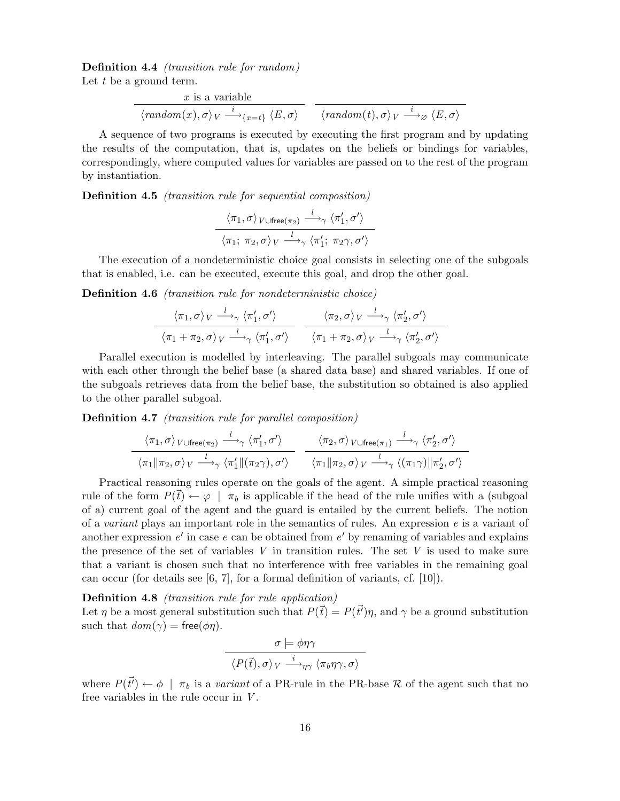Definition 4.4 (transition rule for random) Let  $t$  be a ground term.

$$
\xrightarrow{x \text{ is a variable}}
$$
\n
$$
\langle \text{random}(x), \sigma \rangle_V \xrightarrow{i} \{x=t\} \langle E, \sigma \rangle
$$
\n
$$
\langle \text{random}(t), \sigma \rangle_V \xrightarrow{i} \otimes \langle E, \sigma \rangle
$$

A sequence of two programs is executed by executing the first program and by updating the results of the computation, that is, updates on the beliefs or bindings for variables, correspondingly, where computed values for variables are passed on to the rest of the program by instantiation.

Definition 4.5 (transition rule for sequential composition)

$$
\frac{\langle \pi_1, \sigma \rangle_{V \cup \text{free}(\pi_2)} \stackrel{l}{\longrightarrow}_{\gamma} \langle \pi'_1, \sigma' \rangle}{\langle \pi_1; \pi_2, \sigma \rangle_{V} \stackrel{l}{\longrightarrow}_{\gamma} \langle \pi'_1; \pi_2 \gamma, \sigma' \rangle}
$$

The execution of a nondeterministic choice goal consists in selecting one of the subgoals that is enabled, i.e. can be executed, execute this goal, and drop the other goal.

Definition 4.6 (transition rule for nondeterministic choice)

$$
\frac{\langle \pi_1, \sigma \rangle_V \stackrel{l}{\longrightarrow}_{\gamma} \langle \pi'_1, \sigma' \rangle}{\langle \pi_1 + \pi_2, \sigma \rangle_V \stackrel{l}{\longrightarrow}_{\gamma} \langle \pi'_1, \sigma' \rangle} \frac{\langle \pi_2, \sigma \rangle_V \stackrel{l}{\longrightarrow}_{\gamma} \langle \pi'_2, \sigma' \rangle}{\langle \pi_1 + \pi_2, \sigma \rangle_V \stackrel{l}{\longrightarrow}_{\gamma} \langle \pi'_2, \sigma' \rangle}
$$

Parallel execution is modelled by interleaving. The parallel subgoals may communicate with each other through the belief base (a shared data base) and shared variables. If one of the subgoals retrieves data from the belief base, the substitution so obtained is also applied to the other parallel subgoal.

Definition 4.7 (transition rule for parallel composition)

$$
\frac{\langle \pi_1, \sigma \rangle_{V \cup \text{free}(\pi_2)} \xrightarrow{l} \gamma \langle \pi'_1, \sigma' \rangle}{\langle \pi_1 \| \pi_2, \sigma \rangle_{V} \xrightarrow{l} \langle \pi'_1 \| (\pi_2 \gamma), \sigma' \rangle} \frac{\langle \pi_2, \sigma \rangle_{V \cup \text{free}(\pi_1)} \xrightarrow{l} \gamma \langle \pi'_2, \sigma' \rangle}{\langle \pi_1 \| \pi_2, \sigma \rangle_{V} \xrightarrow{l} \langle (\pi_1 \gamma) \| \pi'_2, \sigma' \rangle}
$$

Practical reasoning rules operate on the goals of the agent. A simple practical reasoning rule of the form  $P(\vec{t}) \leftarrow \varphi \mid \pi_b$  is applicable if the head of the rule unifies with a (subgoal of a) current goal of the agent and the guard is entailed by the current beliefs. The notion of a *variant* plays an important role in the semantics of rules. An expression  $e$  is a variant of another expression  $e'$  in case  $e$  can be obtained from  $e'$  by renaming of variables and explains the presence of the set of variables  $V$  in transition rules. The set  $V$  is used to make sure that a variant is chosen such that no interference with free variables in the remaining goal can occur (for details see [6, 7], for a formal definition of variants, cf. [10]).

Definition 4.8 (transition rule for rule application)

Let  $\eta$  be a most general substitution such that  $P(\vec{t}) = P(\vec{t}')\eta$ , and  $\gamma$  be a ground substitution such that  $dom(\gamma) = free(\phi \eta)$ .

$$
\sigma \models \phi \eta \gamma
$$

$$
\langle P(\vec{t}), \sigma \rangle_V \stackrel{i}{\longrightarrow}_{\eta \gamma} \langle \pi_b \eta \gamma, \sigma \rangle
$$

where  $P(\vec{t}) \leftarrow \phi \mid \pi_b$  is a variant of a PR-rule in the PR-base R of the agent such that no free variables in the rule occur in  $V$ .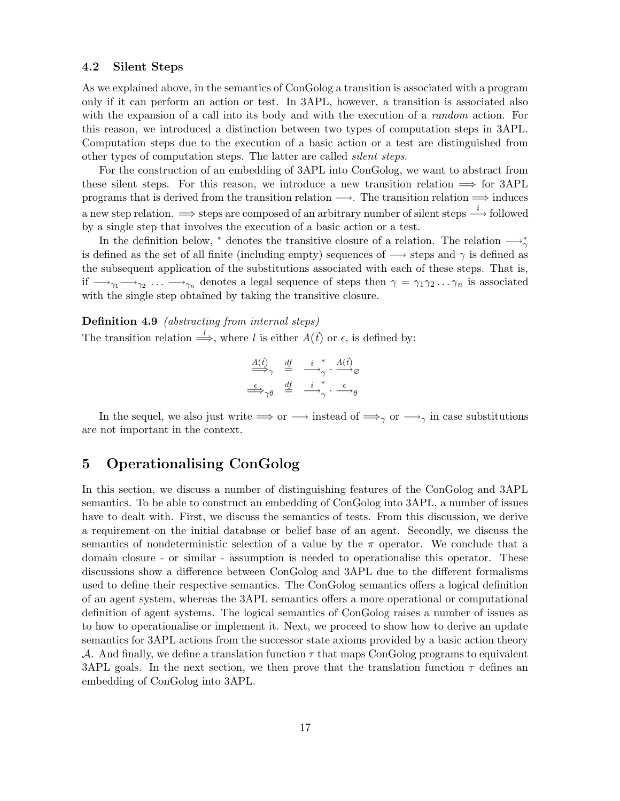### 4.2 Silent Steps

As we explained above, in the semantics of ConGolog a transition is associated with a program only if it can perform an action or test. In 3APL, however, a transition is associated also with the expansion of a call into its body and with the execution of a *random* action. For this reason, we introduced a distinction between two types of computation steps in 3APL. Computation steps due to the execution of a basic action or a test are distinguished from other types of computation steps. The latter are called silent steps.

For the construction of an embedding of 3APL into ConGolog, we want to abstract from these silent steps. For this reason, we introduce a new transition relation  $\implies$  for 3APL programs that is derived from the transition relation  $\longrightarrow$ . The transition relation  $\Longrightarrow$  induces a new step relation.  $\implies$  steps are composed of an arbitrary number of silent steps  $\stackrel{i}{\longrightarrow}$  followed by a single step that involves the execution of a basic action or a test.

In the definition below,  $*$  denotes the transitive closure of a relation. The relation  $\longrightarrow_{\gamma}^*$ is defined as the set of all finite (including empty) sequences of  $\rightarrow$  steps and  $\gamma$  is defined as the subsequent application of the substitutions associated with each of these steps. That is, if  $\longrightarrow_{\gamma_1} \longrightarrow_{\gamma_2} \ldots \longrightarrow_{\gamma_n}$  denotes a legal sequence of steps then  $\gamma = \gamma_1 \gamma_2 \ldots \gamma_n$  is associated with the single step obtained by taking the transitive closure.

### Definition 4.9 (abstracting from internal steps)

The transition relation  $\stackrel{l}{\Longrightarrow}$ , where l is either  $A(\vec{t})$  or  $\epsilon$ , is defined by:

$$
\frac{\underline{A}(\vec{t})}{\Rightarrowq \gamma} \quad \stackrel{\underline{df}}{=} \quad \xrightarrow{i}^* \quad \frac{A(\vec{t})}{\gamma} \otimes \quad \xrightarrow{\epsilon} \gamma \theta \quad \stackrel{\underline{df}}{=} \quad \xrightarrow{i}^* \quad \xrightarrow{\epsilon} \theta
$$

In the sequel, we also just write  $\implies$  or  $\longrightarrow$  instead of  $\implies$ <sub>γ</sub> or  $\longrightarrow$ <sub>γ</sub> in case substitutions are not important in the context.

# 5 Operationalising ConGolog

In this section, we discuss a number of distinguishing features of the ConGolog and 3APL semantics. To be able to construct an embedding of ConGolog into 3APL, a number of issues have to dealt with. First, we discuss the semantics of tests. From this discussion, we derive a requirement on the initial database or belief base of an agent. Secondly, we discuss the semantics of nondeterministic selection of a value by the  $\pi$  operator. We conclude that a domain closure - or similar - assumption is needed to operationalise this operator. These discussions show a difference between ConGolog and 3APL due to the different formalisms used to define their respective semantics. The ConGolog semantics offers a logical definition of an agent system, whereas the 3APL semantics offers a more operational or computational definition of agent systems. The logical semantics of ConGolog raises a number of issues as to how to operationalise or implement it. Next, we proceed to show how to derive an update semantics for 3APL actions from the successor state axioms provided by a basic action theory A. And finally, we define a translation function  $\tau$  that maps ConGolog programs to equivalent 3APL goals. In the next section, we then prove that the translation function  $\tau$  defines an embedding of ConGolog into 3APL.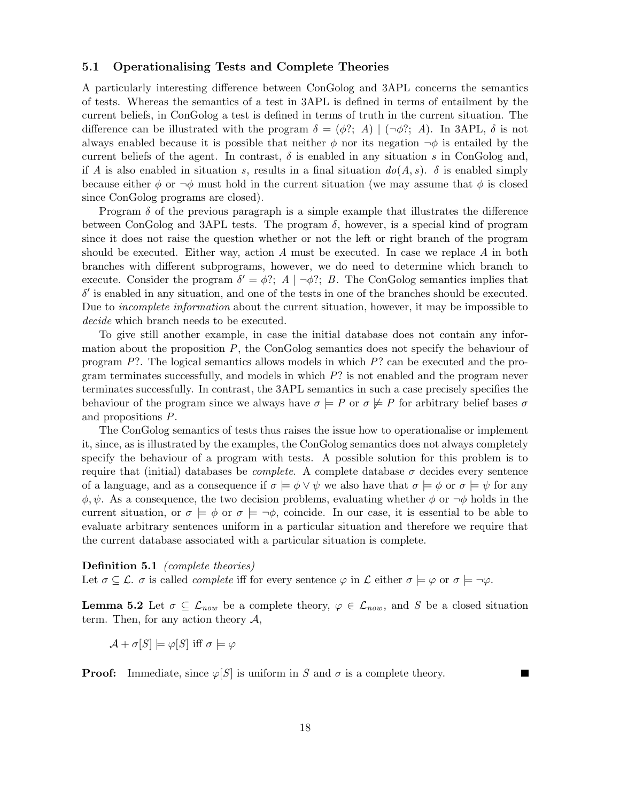### 5.1 Operationalising Tests and Complete Theories

A particularly interesting difference between ConGolog and 3APL concerns the semantics of tests. Whereas the semantics of a test in 3APL is defined in terms of entailment by the current beliefs, in ConGolog a test is defined in terms of truth in the current situation. The difference can be illustrated with the program  $\delta = (\phi$ ?; A) |  $(\neg \phi)$ ?; A). In 3APL,  $\delta$  is not always enabled because it is possible that neither  $\phi$  nor its negation  $\neg \phi$  is entailed by the current beliefs of the agent. In contrast,  $\delta$  is enabled in any situation s in ConGolog and, if A is also enabled in situation s, results in a final situation  $do(A, s)$ .  $\delta$  is enabled simply because either  $\phi$  or  $\neg \phi$  must hold in the current situation (we may assume that  $\phi$  is closed since ConGolog programs are closed).

Program  $\delta$  of the previous paragraph is a simple example that illustrates the difference between ConGolog and 3APL tests. The program  $\delta$ , however, is a special kind of program since it does not raise the question whether or not the left or right branch of the program should be executed. Either way, action  $A$  must be executed. In case we replace  $A$  in both branches with different subprograms, however, we do need to determine which branch to execute. Consider the program  $\delta' = \phi$ ?; A  $| \neg \phi$ ?; B. The ConGolog semantics implies that  $\delta'$  is enabled in any situation, and one of the tests in one of the branches should be executed. Due to *incomplete information* about the current situation, however, it may be impossible to decide which branch needs to be executed.

To give still another example, in case the initial database does not contain any information about the proposition  $P$ , the ConGolog semantics does not specify the behaviour of program P?. The logical semantics allows models in which P? can be executed and the program terminates successfully, and models in which  $P$ ? is not enabled and the program never terminates successfully. In contrast, the 3APL semantics in such a case precisely specifies the behaviour of the program since we always have  $\sigma \models P$  or  $\sigma \not\models P$  for arbitrary belief bases  $\sigma$ and propositions P.

The ConGolog semantics of tests thus raises the issue how to operationalise or implement it, since, as is illustrated by the examples, the ConGolog semantics does not always completely specify the behaviour of a program with tests. A possible solution for this problem is to require that (initial) databases be *complete*. A complete database  $\sigma$  decides every sentence of a language, and as a consequence if  $\sigma \models \phi \lor \psi$  we also have that  $\sigma \models \phi$  or  $\sigma \models \psi$  for any  $\phi, \psi$ . As a consequence, the two decision problems, evaluating whether  $\phi$  or  $\neg \phi$  holds in the current situation, or  $\sigma \models \phi$  or  $\sigma \models \neg \phi$ , coincide. In our case, it is essential to be able to evaluate arbitrary sentences uniform in a particular situation and therefore we require that the current database associated with a particular situation is complete.

### Definition 5.1 (complete theories)

Let  $\sigma \subseteq \mathcal{L}$ .  $\sigma$  is called *complete* iff for every sentence  $\varphi$  in  $\mathcal{L}$  either  $\sigma \models \varphi$  or  $\sigma \models \neg \varphi$ .

**Lemma 5.2** Let  $\sigma \subseteq \mathcal{L}_{now}$  be a complete theory,  $\varphi \in \mathcal{L}_{now}$ , and S be a closed situation term. Then, for any action theory  $A$ ,

$$
\mathcal{A} + \sigma[S] \models \varphi[S] \text{ iff } \sigma \models \varphi
$$

**Proof:** Immediate, since  $\varphi[S]$  is uniform in S and  $\sigma$  is a complete theory.

П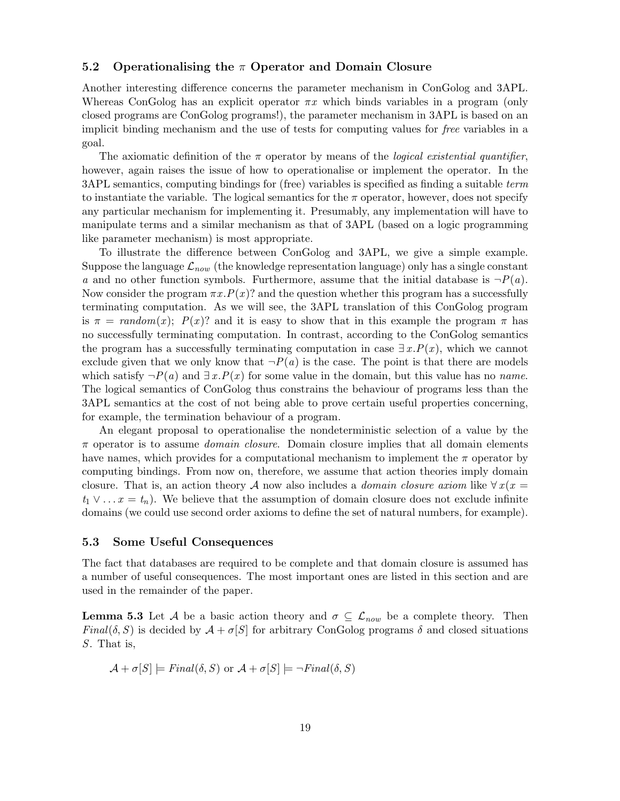### 5.2 Operationalising the  $\pi$  Operator and Domain Closure

Another interesting difference concerns the parameter mechanism in ConGolog and 3APL. Whereas ConGolog has an explicit operator  $\pi x$  which binds variables in a program (only closed programs are ConGolog programs!), the parameter mechanism in 3APL is based on an implicit binding mechanism and the use of tests for computing values for free variables in a goal.

The axiomatic definition of the  $\pi$  operator by means of the *logical existential quantifier*, however, again raises the issue of how to operationalise or implement the operator. In the 3APL semantics, computing bindings for (free) variables is specified as finding a suitable term to instantiate the variable. The logical semantics for the  $\pi$  operator, however, does not specify any particular mechanism for implementing it. Presumably, any implementation will have to manipulate terms and a similar mechanism as that of 3APL (based on a logic programming like parameter mechanism) is most appropriate.

To illustrate the difference between ConGolog and 3APL, we give a simple example. Suppose the language  $\mathcal{L}_{now}$  (the knowledge representation language) only has a single constant a and no other function symbols. Furthermore, assume that the initial database is  $\neg P(a)$ . Now consider the program  $\pi x P(x)$ ? and the question whether this program has a successfully terminating computation. As we will see, the 3APL translation of this ConGolog program is  $\pi = \text{random}(x)$ ;  $P(x)$ ? and it is easy to show that in this example the program  $\pi$  has no successfully terminating computation. In contrast, according to the ConGolog semantics the program has a successfully terminating computation in case  $\exists x.P(x)$ , which we cannot exclude given that we only know that  $\neg P(a)$  is the case. The point is that there are models which satisfy  $\neg P(a)$  and  $\exists x.P(x)$  for some value in the domain, but this value has no *name*. The logical semantics of ConGolog thus constrains the behaviour of programs less than the 3APL semantics at the cost of not being able to prove certain useful properties concerning, for example, the termination behaviour of a program.

An elegant proposal to operationalise the nondeterministic selection of a value by the  $\pi$  operator is to assume *domain closure*. Domain closure implies that all domain elements have names, which provides for a computational mechanism to implement the  $\pi$  operator by computing bindings. From now on, therefore, we assume that action theories imply domain closure. That is, an action theory A now also includes a *domain closure axiom* like  $\forall x (x =$  $t_1 \vee \ldots x = t_n$ ). We believe that the assumption of domain closure does not exclude infinite domains (we could use second order axioms to define the set of natural numbers, for example).

### 5.3 Some Useful Consequences

The fact that databases are required to be complete and that domain closure is assumed has a number of useful consequences. The most important ones are listed in this section and are used in the remainder of the paper.

**Lemma 5.3** Let A be a basic action theory and  $\sigma \subseteq \mathcal{L}_{now}$  be a complete theory. Then Final( $\delta$ , S) is decided by  $\mathcal{A} + \sigma[S]$  for arbitrary ConGolog programs  $\delta$  and closed situations S. That is,

$$
\mathcal{A} + \sigma[S] \models Final(\delta, S) \text{ or } \mathcal{A} + \sigma[S] \models \neg Final(\delta, S)
$$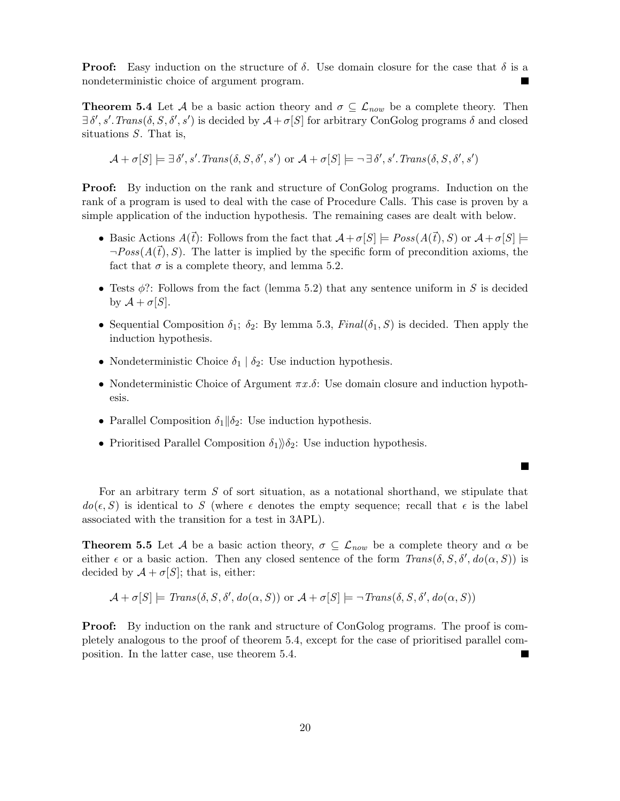**Proof:** Easy induction on the structure of  $\delta$ . Use domain closure for the case that  $\delta$  is a nondeterministic choice of argument program.

**Theorem 5.4** Let A be a basic action theory and  $\sigma \subset \mathcal{L}_{now}$  be a complete theory. Then  $\exists \delta', s'.Trans(\delta, S, \delta', s')$  is decided by  $\mathcal{A} + \sigma[S]$  for arbitrary ConGolog programs  $\delta$  and closed situations S. That is,

$$
\mathcal{A} + \sigma[S] \models \exists \delta', s'.\mathit{Trans}(\delta, S, \delta', s') \text{ or } \mathcal{A} + \sigma[S] \models \neg \exists \delta', s'.\mathit{Trans}(\delta, S, \delta', s')
$$

Proof: By induction on the rank and structure of ConGolog programs. Induction on the rank of a program is used to deal with the case of Procedure Calls. This case is proven by a simple application of the induction hypothesis. The remaining cases are dealt with below.

- Basic Actions  $A(\vec{t})$ : Follows from the fact that  $A+\sigma[S] \models Poss(A(\vec{t}), S)$  or  $A+\sigma[S] \models$  $\neg Poss(A(\bar{t}), S)$ . The latter is implied by the specific form of precondition axioms, the fact that  $\sigma$  is a complete theory, and lemma 5.2.
- Tests  $\phi$ ?: Follows from the fact (lemma 5.2) that any sentence uniform in S is decided by  $\mathcal{A} + \sigma[S]$ .
- Sequential Composition  $\delta_1$ ;  $\delta_2$ : By lemma 5.3, Final( $\delta_1$ , S) is decided. Then apply the induction hypothesis.
- Nondeterministic Choice  $\delta_1 | \delta_2$ : Use induction hypothesis.
- Nondeterministic Choice of Argument  $\pi x.\delta$ : Use domain closure and induction hypothesis.

**The Second Second** 

- Parallel Composition  $\delta_1 || \delta_2$ : Use induction hypothesis.
- Prioritised Parallel Composition  $\delta_1$ ) $\delta_2$ : Use induction hypothesis.

For an arbitrary term  $S$  of sort situation, as a notational shorthand, we stipulate that  $d\sigma(\epsilon, S)$  is identical to S (where  $\epsilon$  denotes the empty sequence; recall that  $\epsilon$  is the label associated with the transition for a test in 3APL).

**Theorem 5.5** Let A be a basic action theory,  $\sigma \subseteq \mathcal{L}_{now}$  be a complete theory and  $\alpha$  be either  $\epsilon$  or a basic action. Then any closed sentence of the form  $Trans(\delta, S, \delta', do(\alpha, S))$  is decided by  $A + \sigma[S]$ ; that is, either:

$$
\mathcal{A} + \sigma[S] \models \mathit{Trans}(\delta, S, \delta', \mathit{do}(\alpha, S)) \text{ or } \mathcal{A} + \sigma[S] \models \neg \mathit{Trans}(\delta, S, \delta', \mathit{do}(\alpha, S))
$$

**Proof:** By induction on the rank and structure of ConGolog programs. The proof is completely analogous to the proof of theorem 5.4, except for the case of prioritised parallel composition. In the latter case, use theorem 5.4.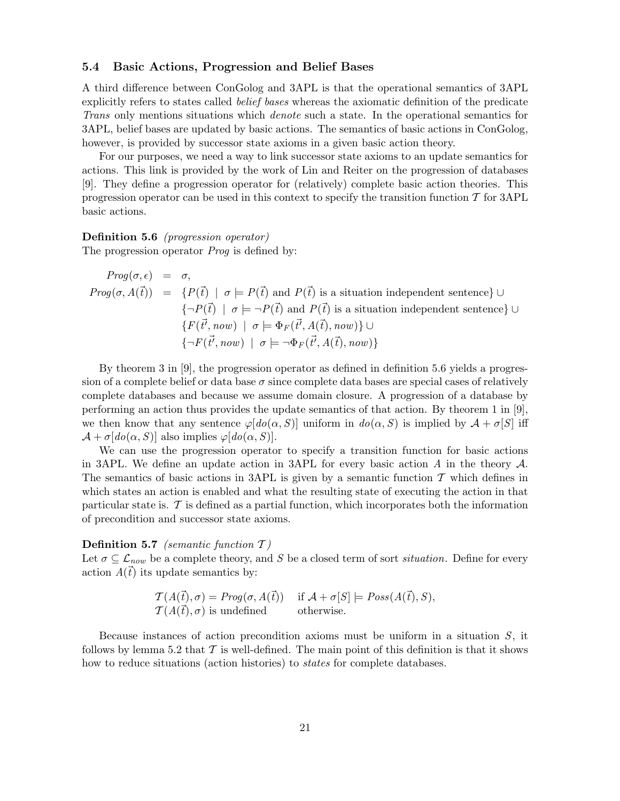### 5.4 Basic Actions, Progression and Belief Bases

A third difference between ConGolog and 3APL is that the operational semantics of 3APL explicitly refers to states called belief bases whereas the axiomatic definition of the predicate Trans only mentions situations which denote such a state. In the operational semantics for 3APL, belief bases are updated by basic actions. The semantics of basic actions in ConGolog, however, is provided by successor state axioms in a given basic action theory.

For our purposes, we need a way to link successor state axioms to an update semantics for actions. This link is provided by the work of Lin and Reiter on the progression of databases [9]. They define a progression operator for (relatively) complete basic action theories. This progression operator can be used in this context to specify the transition function  $\mathcal T$  for 3APL basic actions.

#### Definition 5.6 (progression operator)

The progression operator *Prog* is defined by:

*Prog*(
$$
\sigma, \epsilon
$$
) =  $\sigma$ ,  
\n*Prog*( $\sigma, A(\vec{t})$ ) = { $P(\vec{t}) | \sigma \models P(\vec{t})$  and  $P(\vec{t})$  is a situation independent sentence}  
\n{ $\neg P(\vec{t}) | \sigma \models \neg P(\vec{t})$  and  $P(\vec{t})$  is a situation independent sentence}  
\n{ $F(\vec{t'}, now) | \sigma \models \Phi_F(\vec{t'}, A(\vec{t}), now)$ }  $\cup$   
\n{ $\neg F(\vec{t'}, now) | \sigma \models \neg \Phi_F(\vec{t'}, A(\vec{t}), now)$ }

By theorem 3 in [9], the progression operator as defined in definition 5.6 yields a progression of a complete belief or data base  $\sigma$  since complete data bases are special cases of relatively complete databases and because we assume domain closure. A progression of a database by performing an action thus provides the update semantics of that action. By theorem 1 in [9], we then know that any sentence  $\varphi[d\omega(\alpha, S)]$  uniform in  $d\omega(\alpha, S)$  is implied by  $\mathcal{A} + \sigma[S]$  iff  $\mathcal{A} + \sigma \left[ do(\alpha, S) \right]$  also implies  $\varphi \left[ do(\alpha, S) \right]$ .

We can use the progression operator to specify a transition function for basic actions in 3APL. We define an update action in 3APL for every basic action A in the theory  $\mathcal{A}$ . The semantics of basic actions in 3APL is given by a semantic function  $\mathcal T$  which defines in which states an action is enabled and what the resulting state of executing the action in that particular state is.  $\mathcal T$  is defined as a partial function, which incorporates both the information of precondition and successor state axioms.

### Definition 5.7 (semantic function  $T$ )

Let  $\sigma \subseteq \mathcal{L}_{now}$  be a complete theory, and S be a closed term of sort *situation*. Define for every action  $A(\vec{t})$  its update semantics by:

$$
\mathcal{T}(A(\vec{t}), \sigma) = Prog(\sigma, A(\vec{t})) \quad \text{if } A + \sigma[S] \models Poss(A(\vec{t}), S), \mathcal{T}(A(\vec{t}), \sigma) \text{ is undefined} \quad \text{otherwise.}
$$

Because instances of action precondition axioms must be uniform in a situation S, it follows by lemma 5.2 that  $\mathcal T$  is well-defined. The main point of this definition is that it shows how to reduce situations (action histories) to *states* for complete databases.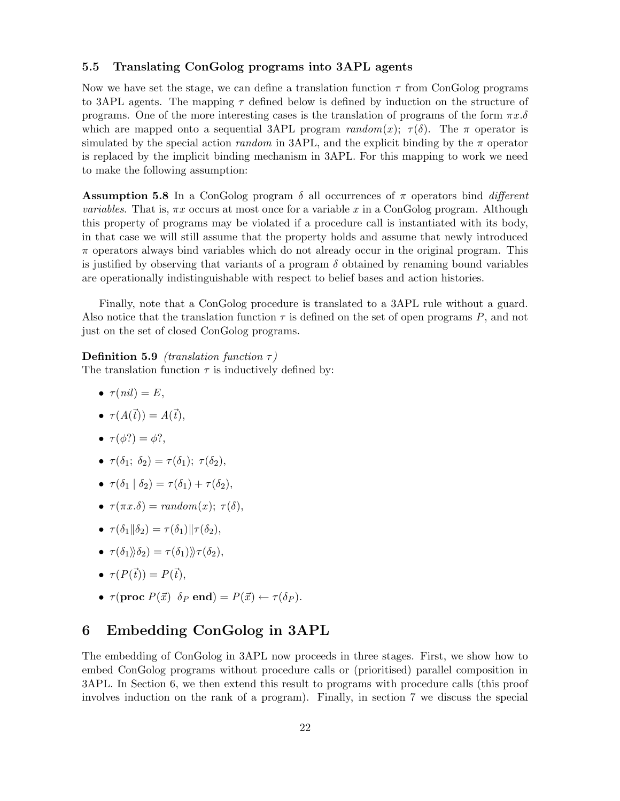### 5.5 Translating ConGolog programs into 3APL agents

Now we have set the stage, we can define a translation function  $\tau$  from ConGolog programs to 3APL agents. The mapping  $\tau$  defined below is defined by induction on the structure of programs. One of the more interesting cases is the translation of programs of the form  $\pi x.\delta$ which are mapped onto a sequential 3APL program  $random(x)$ ;  $\tau(\delta)$ . The  $\pi$  operator is simulated by the special action random in 3APL, and the explicit binding by the  $\pi$  operator is replaced by the implicit binding mechanism in 3APL. For this mapping to work we need to make the following assumption:

**Assumption 5.8** In a ConGolog program  $\delta$  all occurrences of  $\pi$  operators bind different *variables.* That is,  $\pi x$  occurs at most once for a variable x in a ConGolog program. Although this property of programs may be violated if a procedure call is instantiated with its body, in that case we will still assume that the property holds and assume that newly introduced  $\pi$  operators always bind variables which do not already occur in the original program. This is justified by observing that variants of a program  $\delta$  obtained by renaming bound variables are operationally indistinguishable with respect to belief bases and action histories.

Finally, note that a ConGolog procedure is translated to a 3APL rule without a guard. Also notice that the translation function  $\tau$  is defined on the set of open programs P, and not just on the set of closed ConGolog programs.

### Definition 5.9 (translation function  $\tau$ )

The translation function  $\tau$  is inductively defined by:

- $\bullet$   $\tau(nil) = E$ ,
- $\tau(A(\vec{t})) = A(\vec{t}),$
- $\tau(\phi') = \phi'$ .
- $\tau(\delta_1; \delta_2) = \tau(\delta_1); \tau(\delta_2),$
- $\tau(\delta_1 | \delta_2) = \tau(\delta_1) + \tau(\delta_2),$
- $\tau(\pi x.\delta) = \text{random}(x); \ \tau(\delta),$
- $\tau(\delta_1||\delta_2) = \tau(\delta_1)||\tau(\delta_2),$
- $\tau(\delta_1)\hat{\delta}_2 = \tau(\delta_1)\hat{\tau}(\delta_2),$
- $\tau(P(\vec{t})) = P(\vec{t}).$
- $\tau(\mathbf{proc}\,P(\vec{x})\,\delta_P\,\mathbf{end}) = P(\vec{x}) \leftarrow \tau(\delta_P).$

# 6 Embedding ConGolog in 3APL

The embedding of ConGolog in 3APL now proceeds in three stages. First, we show how to embed ConGolog programs without procedure calls or (prioritised) parallel composition in 3APL. In Section 6, we then extend this result to programs with procedure calls (this proof involves induction on the rank of a program). Finally, in section 7 we discuss the special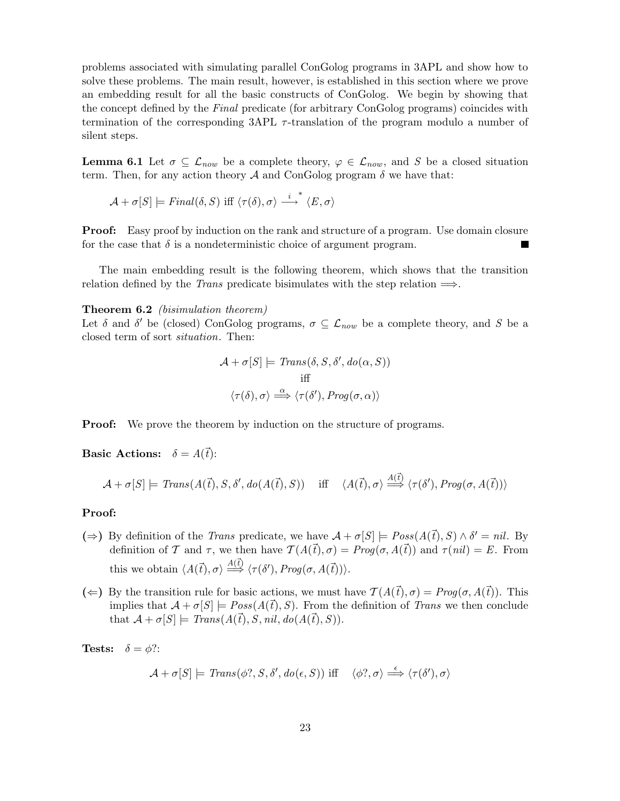problems associated with simulating parallel ConGolog programs in 3APL and show how to solve these problems. The main result, however, is established in this section where we prove an embedding result for all the basic constructs of ConGolog. We begin by showing that the concept defined by the Final predicate (for arbitrary ConGolog programs) coincides with termination of the corresponding  $3APL \tau$ -translation of the program modulo a number of silent steps.

**Lemma 6.1** Let  $\sigma \subseteq \mathcal{L}_{now}$  be a complete theory,  $\varphi \in \mathcal{L}_{now}$ , and S be a closed situation term. Then, for any action theory A and ConGolog program  $\delta$  we have that:

 $\mathcal{A} + \sigma[S] \models Final(\delta, S) \text{ iff } \langle \tau(\delta), \sigma \rangle \stackrel{i}{\longrightarrow}^* \langle E, \sigma \rangle$ 

**Proof:** Easy proof by induction on the rank and structure of a program. Use domain closure for the case that  $\delta$  is a nondeterministic choice of argument program.

The main embedding result is the following theorem, which shows that the transition relation defined by the *Trans* predicate bisimulates with the step relation  $\implies$ .

Theorem 6.2 (bisimulation theorem)

Let  $\delta$  and  $\delta'$  be (closed) ConGolog programs,  $\sigma \subseteq \mathcal{L}_{now}$  be a complete theory, and S be a closed term of sort situation. Then:

$$
\mathcal{A} + \sigma[S] \models \text{Trans}(\delta, S, \delta', do(\alpha, S))
$$
  
iff  

$$
\langle \tau(\delta), \sigma \rangle \stackrel{\alpha}{\Longrightarrow} \langle \tau(\delta'), \text{Prog}(\sigma, \alpha) \rangle
$$

**Proof:** We prove the theorem by induction on the structure of programs.

**Basic Actions:**  $\delta = A(\vec{t})$ :

 $\mathcal{A} + \sigma[S] \models \text{Trans}(A(\vec{t}), S, \delta', do(A(\vec{t}), S)) \text{ iff } \langle A(\vec{t}), \sigma \rangle \stackrel{A(\vec{t})}{\Longrightarrow} \langle \tau(\delta'), \text{Prog}(\sigma, A(\vec{t})) \rangle$ 

### Proof:

- (⇒) By definition of the *Trans* predicate, we have  $\mathcal{A} + \sigma[S] \models Poss(A(\vec{t}), S) \wedge \delta' = nil$ . By definition of T and  $\tau$ , we then have  $\mathcal{T}(A(\vec{t}), \sigma) = \text{Prog}(\sigma, A(\vec{t}))$  and  $\tau(nil) = E$ . From this we obtain  $\langle A(\vec{t}), \sigma \rangle \stackrel{A(\vec{t})}{\Longrightarrow} \langle \tau(\delta'), Prog(\sigma, A(\vec{t})) \rangle$ .
- $(\Leftarrow)$  By the transition rule for basic actions, we must have  $\mathcal{T}(A(\vec{t}), \sigma) = Proq(\sigma, A(\vec{t}))$ . This implies that  $\mathcal{A} + \sigma[S] = Poss(A(\vec{t}), S)$ . From the definition of Trans we then conclude that  $\mathcal{A} + \sigma[S] \models \text{Trans}(A(\vec{t}), S, \text{nil}, \text{do}(A(\vec{t}), S)).$

**Tests:**  $\delta = \phi$ ?:

$$
\mathcal{A} + \sigma[S] \models \mathit{Trans}(\phi?, S, \delta', \mathit{do}(\epsilon, S)) \; \mathrm{iff} \quad \langle \phi?, \sigma \rangle \stackrel{\epsilon}{\Longrightarrow} \langle \tau(\delta'), \sigma \rangle
$$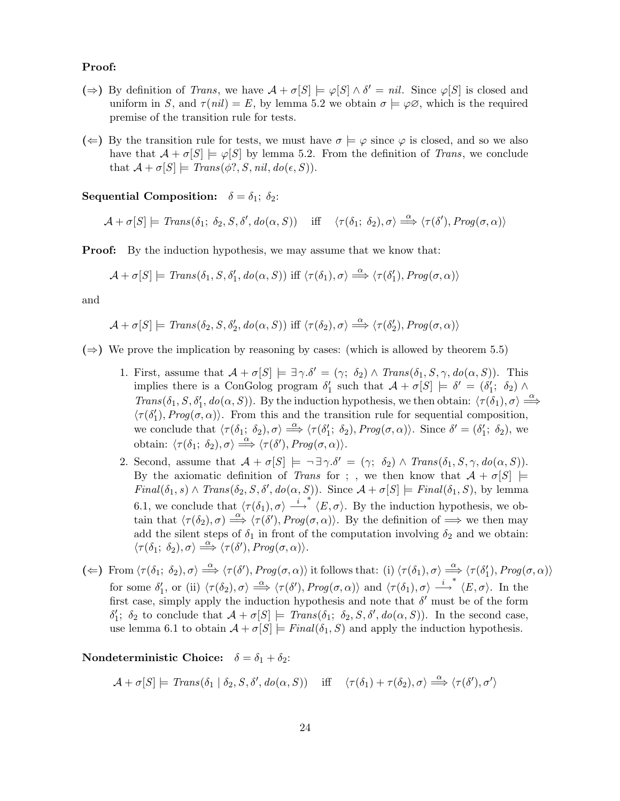### Proof:

- $(\Rightarrow)$  By definition of *Trans*, we have  $\mathcal{A} + \sigma[S] \models \varphi[S] \wedge \delta' = \text{nil}$ . Since  $\varphi[S]$  is closed and uniform in S, and  $\tau(nil) = E$ , by lemma 5.2 we obtain  $\sigma \models \varphi \varnothing$ , which is the required premise of the transition rule for tests.
- $(\Leftarrow)$  By the transition rule for tests, we must have  $\sigma \models \varphi$  since  $\varphi$  is closed, and so we also have that  $\mathcal{A} + \sigma[S] \models \varphi[S]$  by lemma 5.2. From the definition of Trans, we conclude that  $\mathcal{A} + \sigma[S] \models Trans(\phi?, S, nil, do(\epsilon, S)).$

Sequential Composition:  $\delta = \delta_1$ ;  $\delta_2$ :

 $\mathcal{A} + \sigma[S] \models \text{Trans}(\delta_1; \ \delta_2, S, \delta', \text{do}(\alpha, S)) \quad \text{iff} \quad \langle \tau(\delta_1; \ \delta_2), \sigma \rangle \stackrel{\alpha}{\Longrightarrow} \langle \tau(\delta'), \text{Prog}(\sigma, \alpha) \rangle$ 

**Proof:** By the induction hypothesis, we may assume that we know that:

$$
\mathcal{A} + \sigma[S] \models \text{Trans}(\delta_1, S, \delta'_1, \text{do}(\alpha, S)) \text{ iff } \langle \tau(\delta_1), \sigma \rangle \stackrel{\alpha}{\Longrightarrow} \langle \tau(\delta'_1), \text{Prog}(\sigma, \alpha) \rangle
$$

and

$$
\mathcal{A} + \sigma[S] \models \text{Trans}(\delta_2, S, \delta'_2, \text{do}(\alpha, S)) \text{ iff } \langle \tau(\delta_2), \sigma \rangle \stackrel{\alpha}{\Longrightarrow} \langle \tau(\delta'_2), \text{Prog}(\sigma, \alpha) \rangle
$$

( $\Rightarrow$ ) We prove the implication by reasoning by cases: (which is allowed by theorem 5.5)

- 1. First, assume that  $\mathcal{A} + \sigma[S] \models \exists \gamma . \delta' = (\gamma; \delta_2) \wedge Trans(\delta_1, S, \gamma, do(\alpha, S)).$  This implies there is a ConGolog program  $\delta'_1$  such that  $\mathcal{A} + \sigma[S] \models \delta' = (\delta'_1; \delta_2) \land$ Trans( $\delta_1, S, \delta'_1, do(\alpha, S)$ ). By the induction hypothesis, we then obtain:  $\langle \tau(\delta_1), \sigma \rangle \stackrel{\alpha}{\Longrightarrow}$  $\langle \tau(\delta_1'), Prog(\sigma, \alpha) \rangle$ . From this and the transition rule for sequential composition, we conclude that  $\langle \tau(\delta_1; \delta_2), \sigma \rangle \stackrel{\alpha}{\Longrightarrow} \langle \tau(\delta_1'; \delta_2), Prog(\sigma, \alpha) \rangle$ . Since  $\delta' = (\delta_1'; \delta_2)$ , we obtain:  $\langle \tau(\delta_1; \delta_2), \sigma \rangle \stackrel{\alpha}{\Longrightarrow} \langle \tau(\delta'), Prog(\sigma, \alpha) \rangle.$
- 2. Second, assume that  $\mathcal{A} + \sigma[S] \models \neg \exists \gamma . \delta' = (\gamma; \delta_2) \land \text{Trans}(\delta_1, S, \gamma, \text{do}(\alpha, S)).$ By the axiomatic definition of Trans for ; , we then know that  $\mathcal{A} + \sigma[S]$   $\models$  $Final(\delta_1, s) \wedge Trans(\delta_2, S, \delta', do(\alpha, S))$ . Since  $\mathcal{A} + \sigma[S] \models Final(\delta_1, S)$ , by lemma 6.1, we conclude that  $\langle \tau(\delta_1), \sigma \rangle \stackrel{i}{\longrightarrow} \langle E, \sigma \rangle$ . By the induction hypothesis, we obtain that  $\langle \tau(\delta_2), \sigma \rangle \stackrel{\alpha}{\Longrightarrow} \langle \tau(\delta'), Prog(\sigma, \alpha) \rangle$ . By the definition of  $\Longrightarrow$  we then may add the silent steps of  $\delta_1$  in front of the computation involving  $\delta_2$  and we obtain:  $\langle \tau(\delta_1; \delta_2), \sigma \rangle \stackrel{\alpha}{\Longrightarrow} \langle \tau(\delta'), Prog(\sigma, \alpha) \rangle.$
- (  $\Leftarrow$ ) From  $\langle \tau(\delta_1; \delta_2), \sigma \rangle \stackrel{\alpha}{\Longrightarrow} \langle \tau(\delta'), Prog(\sigma, \alpha) \rangle$  it follows that: (i)  $\langle \tau(\delta_1), \sigma \rangle \stackrel{\alpha}{\Longrightarrow} \langle \tau(\delta'_1), Prog(\sigma, \alpha) \rangle$ for some  $\delta'_1$ , or (ii)  $\langle \tau(\delta_2), \sigma \rangle \stackrel{\alpha}{\Longrightarrow} \langle \tau(\delta'), Prog(\sigma, \alpha) \rangle$  and  $\langle \tau(\delta_1), \sigma \rangle \stackrel{i}{\longrightarrow}^* \langle E, \sigma \rangle$ . In the first case, simply apply the induction hypothesis and note that  $\delta'$  must be of the form  $\delta'_1$ ;  $\delta_2$  to conclude that  $\mathcal{A} + \sigma[S] \models \text{Trans}(\delta_1; \ \delta_2, S, \delta', \text{do}(\alpha, S)).$  In the second case, use lemma 6.1 to obtain  $A + \sigma[S] \models Final(\delta_1, S)$  and apply the induction hypothesis.

Nondeterministic Choice:  $\delta = \delta_1 + \delta_2$ :

 $\mathcal{A} + \sigma[S] \models \text{Trans}(\delta_1 | \delta_2, S, \delta', do(\alpha, S)) \text{ iff } \langle \tau(\delta_1) + \tau(\delta_2), \sigma \rangle \stackrel{\alpha}{\Longrightarrow} \langle \tau(\delta'), \sigma' \rangle$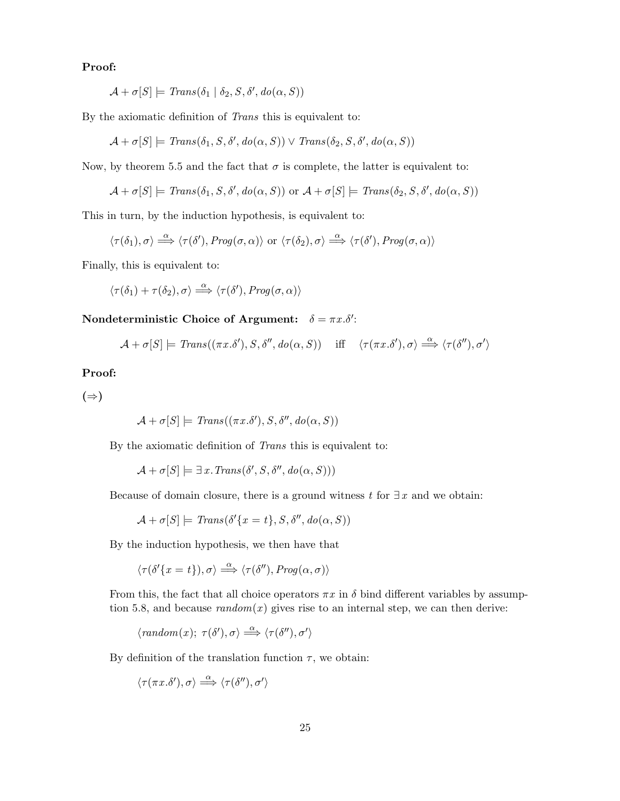### Proof:

$$
\mathcal{A} + \sigma[S] \models \mathit{Trans}(\delta_1 | \delta_2, S, \delta', \mathit{do}(\alpha, S))
$$

By the axiomatic definition of Trans this is equivalent to:

$$
\mathcal{A} + \sigma[S] \models Trans(\delta_1, S, \delta', do(\alpha, S)) \lor Trans(\delta_2, S, \delta', do(\alpha, S))
$$

Now, by theorem 5.5 and the fact that  $\sigma$  is complete, the latter is equivalent to:

$$
\mathcal{A} + \sigma[S] \models \mathit{Trans}(\delta_1, S, \delta', \mathit{do}(\alpha, S)) \text{ or } \mathcal{A} + \sigma[S] \models \mathit{Trans}(\delta_2, S, \delta', \mathit{do}(\alpha, S))
$$

This in turn, by the induction hypothesis, is equivalent to:

$$
\langle \tau(\delta_1),\sigma\rangle \stackrel{\alpha}{\Longrightarrow} \langle \tau(\delta'),\mathit{Prog}(\sigma,\alpha)\rangle \text{ or } \langle \tau(\delta_2),\sigma\rangle \stackrel{\alpha}{\Longrightarrow} \langle \tau(\delta'),\mathit{Prog}(\sigma,\alpha)\rangle
$$

Finally, this is equivalent to:

$$
\langle \tau(\delta_1)+\tau(\delta_2),\sigma\rangle \stackrel{\alpha}{\Longrightarrow} \langle \tau(\delta'),Prog(\sigma,\alpha)\rangle
$$

Nondeterministic Choice of Argument:  $\delta = \pi x . \delta'$ :

$$
\mathcal{A} + \sigma[S] \models \mathit{Trans}((\pi x. \delta'), S, \delta'', do(\alpha, S)) \quad \text{ iff } \quad \langle \tau(\pi x. \delta'), \sigma \rangle \stackrel{\alpha}{\Longrightarrow} \langle \tau(\delta''), \sigma' \rangle
$$

### Proof:

 $(\Rightarrow)$ 

$$
\mathcal{A} + \sigma[S] \models \mathit{Trans}((\pi x. \delta'), S, \delta'', \mathit{do}(\alpha, S))
$$

By the axiomatic definition of Trans this is equivalent to:

$$
\mathcal{A} + \sigma[S] \models \exists x \, \text{Trans}(\delta', S, \delta'', \text{do}(\alpha, S)))
$$

Because of domain closure, there is a ground witness t for  $\exists x$  and we obtain:

$$
\mathcal{A} + \sigma[S] \models \mathit{Trans}(\delta'\{x = t\}, S, \delta'', \mathit{do}(\alpha, S))
$$

By the induction hypothesis, we then have that

$$
\langle \tau(\delta'\{x=t\}), \sigma \rangle \stackrel{\alpha}{\Longrightarrow} \langle \tau(\delta''), \mathit{Prog}(\alpha, \sigma) \rangle
$$

From this, the fact that all choice operators  $\pi x$  in  $\delta$  bind different variables by assumption 5.8, and because  $random(x)$  gives rise to an internal step, we can then derive:

$$
\langle \text{random}(x); \ \tau(\delta'), \sigma \rangle \stackrel{\alpha}{\Longrightarrow} \langle \tau(\delta''), \sigma' \rangle
$$

By definition of the translation function  $\tau$ , we obtain:

$$
\langle \tau(\pi x.\delta'),\sigma\rangle \stackrel{\alpha}{\Longrightarrow} \langle \tau(\delta''),\sigma'\rangle
$$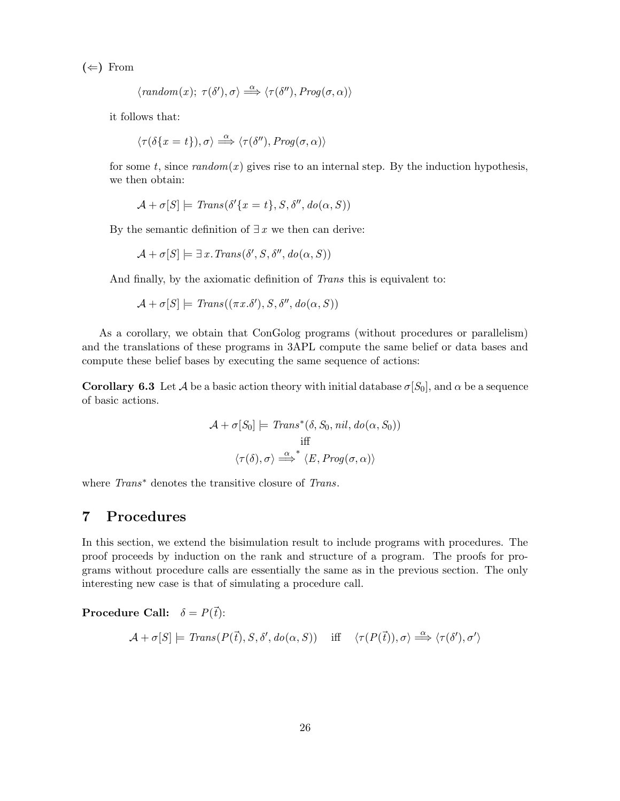$(\Leftarrow)$  From

$$
\langle \text{random}(x); \ \tau(\delta'), \sigma \rangle \stackrel{\alpha}{\Longrightarrow} \langle \tau(\delta''), \text{Prog}(\sigma, \alpha) \rangle
$$

it follows that:

$$
\langle \tau(\delta\{x=t\}),\sigma\rangle \stackrel{\alpha}{\Longrightarrow} \langle \tau(\delta''),\mathit{Prog}(\sigma,\alpha)\rangle
$$

for some t, since  $random(x)$  gives rise to an internal step. By the induction hypothesis, we then obtain:

$$
\mathcal{A} + \sigma[S] \models \mathit{Trans}(\delta'\{x = t\}, S, \delta'', \mathit{do}(\alpha, S))
$$

By the semantic definition of  $\exists x$  we then can derive:

$$
\mathcal{A} + \sigma[S] \models \exists x \, \text{Trans}(\delta', S, \delta'', \text{do}(\alpha, S))
$$

And finally, by the axiomatic definition of Trans this is equivalent to:

$$
\mathcal{A} + \sigma[S] \models Trans((\pi x. \delta'), S, \delta'', do(\alpha, S))
$$

As a corollary, we obtain that ConGolog programs (without procedures or parallelism) and the translations of these programs in 3APL compute the same belief or data bases and compute these belief bases by executing the same sequence of actions:

**Corollary 6.3** Let A be a basic action theory with initial database  $\sigma[S_0]$ , and  $\alpha$  be a sequence of basic actions.

$$
\mathcal{A} + \sigma[S_0] \models \text{Trans}^*(\delta, S_0, \text{nil}, \text{do}(\alpha, S_0))
$$
  
iff  

$$
\langle \tau(\delta), \sigma \rangle \stackrel{\alpha}{\Longrightarrow}^* \langle E, \text{Prog}(\sigma, \alpha) \rangle
$$

where *Trans*<sup>∗</sup> denotes the transitive closure of *Trans*.

# 7 Procedures

In this section, we extend the bisimulation result to include programs with procedures. The proof proceeds by induction on the rank and structure of a program. The proofs for programs without procedure calls are essentially the same as in the previous section. The only interesting new case is that of simulating a procedure call.

**Procedure Call:**  $\delta = P(\vec{t})$ :

$$
\mathcal{A} + \sigma[S] \models \mathit{Trans}(P(\vec{t}), S, \delta', \mathit{do}(\alpha, S)) \quad \text{ iff } \quad \langle \tau(P(\vec{t})), \sigma \rangle \stackrel{\alpha}{\Longrightarrow} \langle \tau(\delta'), \sigma' \rangle
$$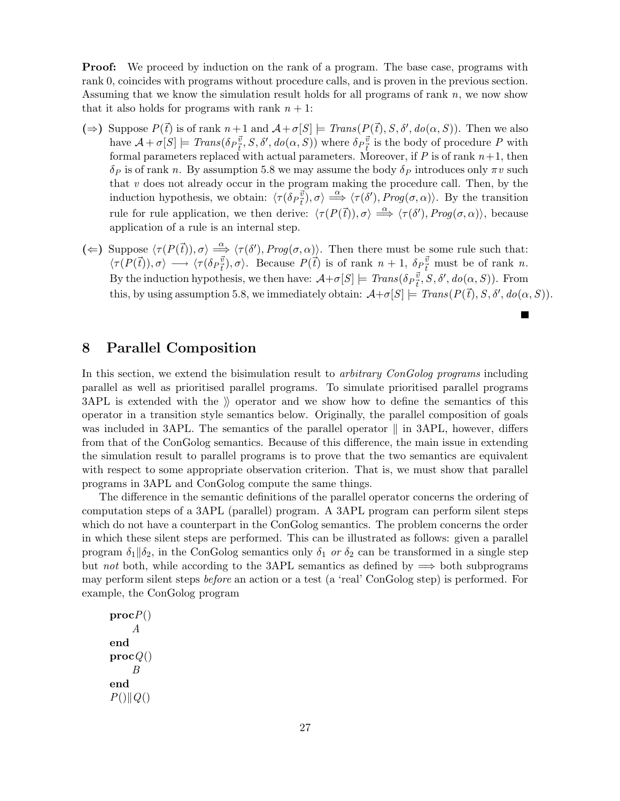**Proof:** We proceed by induction on the rank of a program. The base case, programs with rank 0, coincides with programs without procedure calls, and is proven in the previous section. Assuming that we know the simulation result holds for all programs of rank  $n$ , we now show that it also holds for programs with rank  $n + 1$ :

- ( $\Rightarrow$ ) Suppose  $P(\vec{t})$  is of rank  $n+1$  and  $\mathcal{A}+\sigma[S] \models Trans(P(\vec{t}), S, \delta', do(\alpha, S))$ . Then we also have  $\mathcal{A} + \sigma[S] \models \text{Trans}(\delta_P^{\vec{v}}, S, \delta', do(\alpha, S))$  where  $\delta_P^{\vec{v}}_{\vec{t}}$  is the body of procedure P with formal parameters replaced with actual parameters. Moreover, if  $P$  is of rank  $n+1$ , then  $\delta_P$  is of rank n. By assumption 5.8 we may assume the body  $\delta_P$  introduces only  $\pi v$  such that  $v$  does not already occur in the program making the procedure call. Then, by the induction hypothesis, we obtain:  $\langle \tau(\delta_P \vec{v}), \sigma \rangle \stackrel{\alpha}{\implies} \langle \tau(\delta'), Prog(\sigma, \alpha) \rangle$ . By the transition rule for rule application, we then derive:  $\langle \tau (P(\vec{t})), \sigma \rangle \stackrel{\alpha}{\Longrightarrow} \langle \tau (\delta'), Prog(\sigma, \alpha) \rangle$ , because application of a rule is an internal step.
- ( $\Leftarrow$ ) Suppose  $\langle \tau(P(\vec{t})), \sigma \rangle \stackrel{\alpha}{\Longrightarrow} \langle \tau(\delta'), Prog(\sigma, \alpha) \rangle$ . Then there must be some rule such that:  $\langle \tau(P(\vec{t})), \sigma \rangle \longrightarrow \langle \tau(\delta_P^{\vec{v}}), \sigma \rangle$ . Because  $P(\vec{t})$  is of rank  $n + 1$ ,  $\delta_P^{\vec{v}}$  must be of rank n. By the induction hypothesis, we then have:  $\mathcal{A}+\sigma[S] \models \text{Trans}(\delta_P^{\vec{v}}, S, \delta', do(\alpha, S)).$  From this, by using assumption 5.8, we immediately obtain:  $\mathcal{A}+\sigma[S] \models \text{Trans}(P(\vec{t}), S, \delta', do(\alpha, S)).$

# 8 Parallel Composition

In this section, we extend the bisimulation result to *arbitrary ConGolog programs* including parallel as well as prioritised parallel programs. To simulate prioritised parallel programs  $3API$  is extended with the  $\Diamond$  operator and we show how to define the semantics of this operator in a transition style semantics below. Originally, the parallel composition of goals was included in 3APL. The semantics of the parallel operator  $\parallel$  in 3APL, however, differs from that of the ConGolog semantics. Because of this difference, the main issue in extending the simulation result to parallel programs is to prove that the two semantics are equivalent with respect to some appropriate observation criterion. That is, we must show that parallel programs in 3APL and ConGolog compute the same things.

The difference in the semantic definitions of the parallel operator concerns the ordering of computation steps of a 3APL (parallel) program. A 3APL program can perform silent steps which do not have a counterpart in the ConGolog semantics. The problem concerns the order in which these silent steps are performed. This can be illustrated as follows: given a parallel program  $\delta_1\|\delta_2$ , in the ConGolog semantics only  $\delta_1$  or  $\delta_2$  can be transformed in a single step but not both, while according to the 3APL semantics as defined by  $\implies$  both subprograms may perform silent steps before an action or a test (a 'real' ConGolog step) is performed. For example, the ConGolog program

 $procP()$ A end  $\mathbf{proc}(Q()$ B end  $P()$ || $Q()$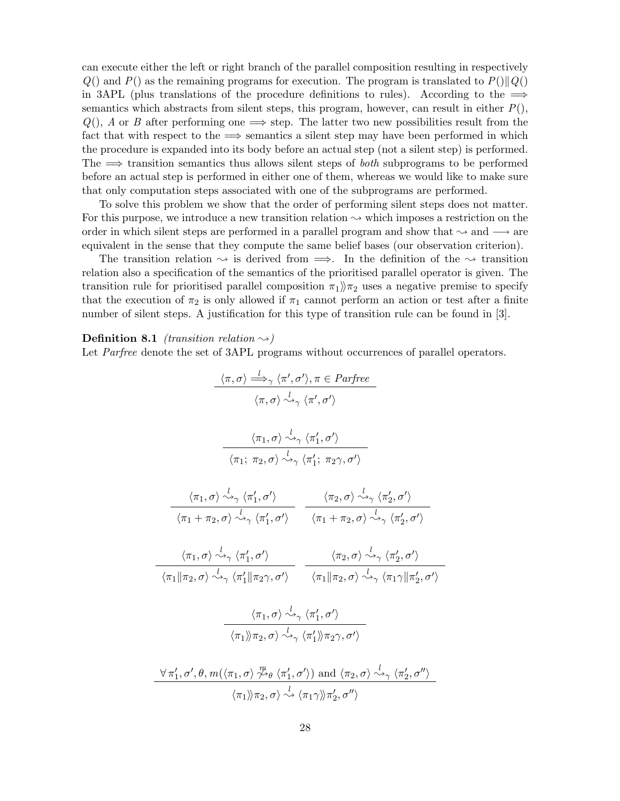can execute either the left or right branch of the parallel composition resulting in respectively  $Q()$  and  $P()$  as the remaining programs for execution. The program is translated to  $P()||Q()$ in 3APL (plus translations of the procedure definitions to rules). According to the  $\implies$ semantics which abstracts from silent steps, this program, however, can result in either  $P()$ ,  $Q(.)$ , A or B after performing one  $\Longrightarrow$  step. The latter two new possibilities result from the fact that with respect to the  $\implies$  semantics a silent step may have been performed in which the procedure is expanded into its body before an actual step (not a silent step) is performed. The  $\implies$  transition semantics thus allows silent steps of *both* subprograms to be performed before an actual step is performed in either one of them, whereas we would like to make sure that only computation steps associated with one of the subprograms are performed.

To solve this problem we show that the order of performing silent steps does not matter. For this purpose, we introduce a new transition relation  $\sim$  which imposes a restriction on the order in which silent steps are performed in a parallel program and show that  $\sim$  and  $\rightarrow$  are equivalent in the sense that they compute the same belief bases (our observation criterion).

The transition relation  $\rightsquigarrow$  is derived from  $\implies$ . In the definition of the  $\rightsquigarrow$  transition relation also a specification of the semantics of the prioritised parallel operator is given. The transition rule for prioritised parallel composition  $\pi_1$ ) $\pi_2$  uses a negative premise to specify that the execution of  $\pi_2$  is only allowed if  $\pi_1$  cannot perform an action or test after a finite number of silent steps. A justification for this type of transition rule can be found in [3].

**Definition 8.1** (transition relation  $\sim$ )

Let *Parfree* denote the set of 3APL programs without occurrences of parallel operators.

$$
\frac{\langle \pi, \sigma \rangle \xrightarrow{\iota} \gamma \langle \pi', \sigma' \rangle, \pi \in Parfree}{\langle \pi, \sigma \rangle \xrightarrow{\iota} \gamma \langle \pi', \sigma' \rangle}
$$
\n
$$
\frac{\langle \pi_1, \sigma \rangle \xrightarrow{\iota} \gamma \langle \pi', \sigma' \rangle}{\langle \pi_1; \pi_2, \sigma \rangle \xrightarrow{\iota} \gamma \langle \pi'_1, \sigma' \rangle}
$$
\n
$$
\frac{\langle \pi_1, \sigma \rangle \xrightarrow{\iota} \gamma \langle \pi'_1, \sigma' \rangle}{\langle \pi_1 + \pi_2, \sigma \rangle \xrightarrow{\iota} \gamma \langle \pi'_1, \sigma' \rangle} \frac{\langle \pi_2, \sigma \rangle \xrightarrow{\iota} \gamma \langle \pi'_2, \sigma' \rangle}{\langle \pi_1 + \pi_2, \sigma \rangle \xrightarrow{\iota} \gamma \langle \pi'_1, \sigma' \rangle} \frac{\langle \pi_2, \sigma \rangle \xrightarrow{\iota} \gamma \langle \pi'_2, \sigma' \rangle}{\langle \pi_1 + \pi_2, \sigma \rangle \xrightarrow{\iota} \gamma \langle \pi'_2, \sigma' \rangle}
$$
\n
$$
\frac{\langle \pi_1, \sigma \rangle \xrightarrow{\iota} \langle \pi'_1, \sigma' \rangle}{\langle \pi_1 || \pi_2, \sigma \rangle \xrightarrow{\iota} \gamma \langle \pi'_1 || \pi_2, \sigma \rangle} \frac{\langle \pi_2, \sigma \rangle \xrightarrow{\iota} \gamma \langle \pi'_2, \sigma' \rangle}{\langle \pi_1 || \pi_2, \sigma \rangle \xrightarrow{\iota} \gamma \langle \pi'_1, \sigma' \rangle}
$$
\n
$$
\frac{\langle \pi_1, \sigma \rangle \xrightarrow{\iota} \gamma \langle \pi'_1, \sigma' \rangle}{\langle \pi_1 \rangle \pi_2, \sigma \rangle \xrightarrow{\iota} \gamma \langle \pi'_1 \rangle \pi_2, \sigma' \rangle}
$$
\n
$$
\frac{\langle \pi_1, \sigma \rangle \xrightarrow{\iota} \langle \pi'_1, \sigma' \rangle}{\langle \pi_1 \rangle \pi_2, \sigma \rangle \xrightarrow{\iota} \langle \pi'_1, \sigma' \rangle}
$$
\n
$$
\frac{\langle \pi_1, \sigma \rangle \xrightarrow{\iota} \langle \pi'_1, \sigma' \rangle}{\langle \pi_1 \rangle \pi_2, \sigma \rangle \xrightarrow{\iota}
$$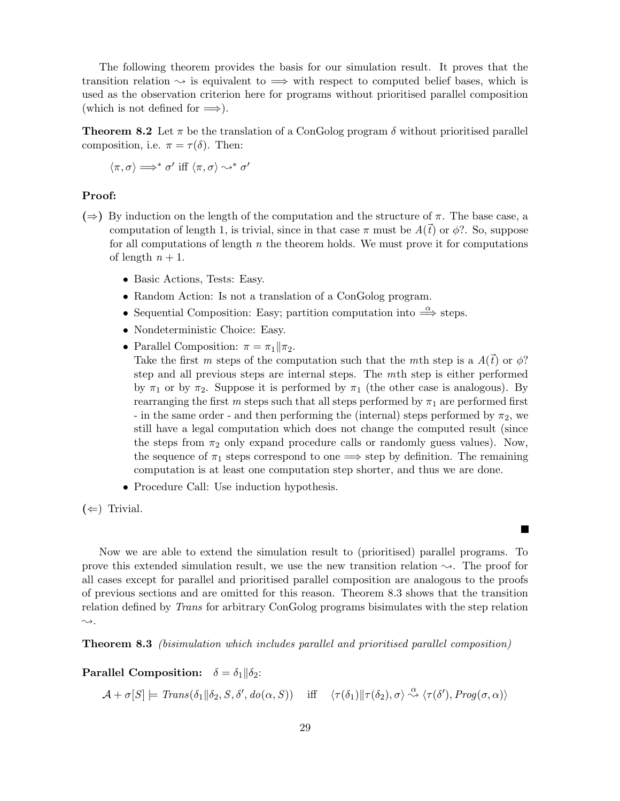The following theorem provides the basis for our simulation result. It proves that the transition relation  $\sim$  is equivalent to  $\Rightarrow$  with respect to computed belief bases, which is used as the observation criterion here for programs without prioritised parallel composition (which is not defined for  $\implies$ ).

**Theorem 8.2** Let  $\pi$  be the translation of a ConGolog program  $\delta$  without prioritised parallel composition, i.e.  $\pi = \tau(\delta)$ . Then:

$$
\langle \pi, \sigma \rangle \Longrightarrow^* \sigma' \text{ iff } \langle \pi, \sigma \rangle \leadsto^* \sigma'
$$

### Proof:

- $(\Rightarrow)$  By induction on the length of the computation and the structure of  $\pi$ . The base case, a computation of length 1, is trivial, since in that case  $\pi$  must be  $A(\vec{t})$  or  $\phi$ ?. So, suppose for all computations of length  $n$  the theorem holds. We must prove it for computations of length  $n + 1$ .
	- Basic Actions, Tests: Easy.
	- Random Action: Is not a translation of a ConGolog program.
	- Sequential Composition: Easy; partition computation into  $\stackrel{\alpha}{\Longrightarrow}$  steps.
	- Nondeterministic Choice: Easy.
	- Parallel Composition:  $\pi = \pi_1 || \pi_2$ .

Take the first m steps of the computation such that the mth step is a  $A(\vec{t})$  or  $\phi$ ? step and all previous steps are internal steps. The mth step is either performed by  $\pi_1$  or by  $\pi_2$ . Suppose it is performed by  $\pi_1$  (the other case is analogous). By rearranging the first m steps such that all steps performed by  $\pi_1$  are performed first - in the same order - and then performing the (internal) steps performed by  $\pi_2$ , we still have a legal computation which does not change the computed result (since the steps from  $\pi_2$  only expand procedure calls or randomly guess values). Now, the sequence of  $\pi_1$  steps correspond to one  $\implies$  step by definition. The remaining computation is at least one computation step shorter, and thus we are done.

• Procedure Call: Use induction hypothesis.

 $(\Leftarrow)$  Trivial.

Now we are able to extend the simulation result to (prioritised) parallel programs. To prove this extended simulation result, we use the new transition relation  $\sim$ . The proof for all cases except for parallel and prioritised parallel composition are analogous to the proofs of previous sections and are omitted for this reason. Theorem 8.3 shows that the transition relation defined by Trans for arbitrary ConGolog programs bisimulates with the step relation  $\rightsquigarrow$ .

Theorem 8.3 (bisimulation which includes parallel and prioritised parallel composition)

**Parallel Composition:**  $\delta = \delta_1 || \delta_2$ :

 $\mathcal{A} + \sigma[S] \models \text{Trans}(\delta_1 || \delta_2, S, \delta', do(\alpha, S))$  iff  $\langle \tau(\delta_1) || \tau(\delta_2), \sigma \rangle \stackrel{\alpha}{\leadsto} \langle \tau(\delta'), \text{Prog}(\sigma, \alpha) \rangle$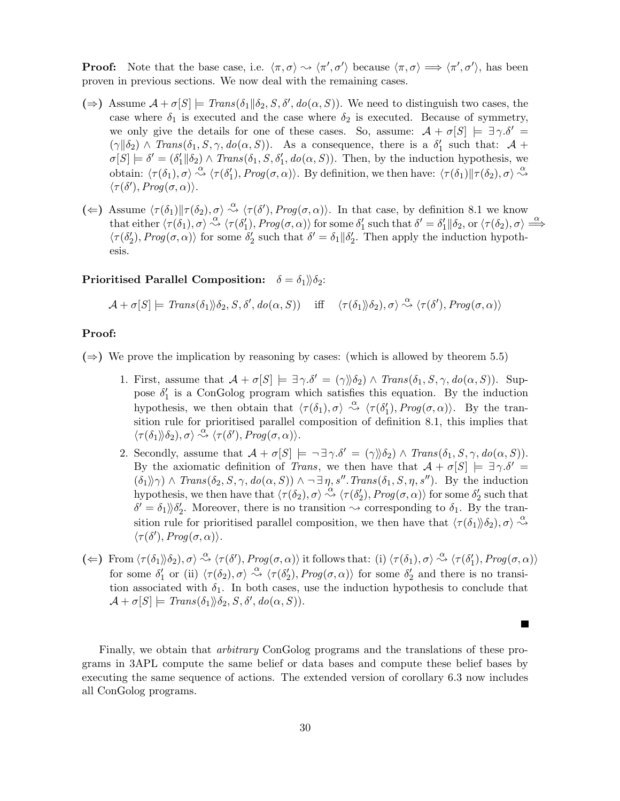**Proof:** Note that the base case, i.e.  $\langle \pi, \sigma \rangle \sim \langle \pi', \sigma' \rangle$  because  $\langle \pi, \sigma \rangle \Longrightarrow \langle \pi', \sigma' \rangle$ , has been proven in previous sections. We now deal with the remaining cases.

- $(\Rightarrow)$  Assume  $\mathcal{A} + \sigma[S] \models \text{Trans}(\delta_1 || \delta_2, S, \delta', \text{do}(\alpha, S)).$  We need to distinguish two cases, the case where  $\delta_1$  is executed and the case where  $\delta_2$  is executed. Because of symmetry, we only give the details for one of these cases. So, assume:  $A + \sigma[S] \models \exists \gamma . \delta' =$  $(\gamma \| \delta_2) \wedge Trans(\delta_1, S, \gamma, do(\alpha, S)).$  As a consequence, there is a  $\delta'_1$  such that:  $\mathcal{A}$  +  $\sigma[S] \models \delta' = (\delta_1' || \delta_2) \land \text{Trans}(\delta_1, S, \delta_1', \text{do}(\alpha, S)).$  Then, by the induction hypothesis, we obtain:  $\langle \tau(\delta_1), \sigma \rangle \stackrel{\alpha}{\rightsquigarrow} \langle \tau(\delta'_1), Prog(\sigma, \alpha) \rangle$ . By definition, we then have:  $\langle \tau(\delta_1) || \tau(\delta_2), \sigma \rangle \stackrel{\alpha}{\rightsquigarrow}$  $\langle \tau(\delta'), Prog(\sigma, \alpha) \rangle.$
- ( $\Leftarrow$ ) Assume  $\langle \tau(\delta_1) || \tau(\delta_2), \sigma \rangle \stackrel{\alpha}{\leadsto} \langle \tau(\delta'), Prog(\sigma, \alpha) \rangle$ . In that case, by definition 8.1 we know that either  $\langle \tau(\delta_1), \sigma \rangle \stackrel{\alpha}{\leadsto} \langle \tau(\delta_1'), Prog(\sigma, \alpha) \rangle$  for some  $\delta_1'$  such that  $\delta' = \delta_1' || \delta_2$ , or  $\langle \tau(\delta_2), \sigma \rangle \stackrel{\alpha}{\Longrightarrow}$  $\langle \tau(\delta_2'), Prog(\sigma, \alpha) \rangle$  for some  $\delta_2'$  such that  $\delta' = \delta_1 || \delta_2'$ . Then apply the induction hypothesis.

Prioritised Parallel Composition:  $\delta = \delta_1 \gg \delta_2$ :

$$
\mathcal{A} + \sigma[S] \models \text{Trans}(\delta_1) \land \delta_2, S, \delta', \text{do}(\alpha, S)) \quad \text{ iff } \quad \langle \tau(\delta_1) \land \delta_2), \sigma \rangle \stackrel{\alpha}{\rightsquigarrow} \langle \tau(\delta'), \text{Prog}(\sigma, \alpha) \rangle
$$

### Proof:

(⇒) We prove the implication by reasoning by cases: (which is allowed by theorem 5.5)

- 1. First, assume that  $A + \sigma[S] \models \exists \gamma . \delta' = (\gamma \rangle \delta_2) \land \text{Trans}(\delta_1, S, \gamma, \text{do}(\alpha, S)).$  Suppose  $\delta_1'$  is a ConGolog program which satisfies this equation. By the induction hypothesis, we then obtain that  $\langle \tau(\delta_1), \sigma \rangle \stackrel{\alpha}{\leadsto} \langle \tau(\delta_1'), Prog(\sigma, \alpha) \rangle$ . By the transition rule for prioritised parallel composition of definition 8.1, this implies that  $\langle \tau(\delta_1) \rangle \delta_2$ ,  $\sigma \rangle \stackrel{\alpha}{\leadsto} \langle \tau(\delta'), Prog(\sigma, \alpha) \rangle$ .
- 2. Secondly, assume that  $\mathcal{A} + \sigma[S] \models \neg \exists \gamma . \delta' = (\gamma \land \delta_2) \land \text{Trans}(\delta_1, S, \gamma, \text{do}(\alpha, S)).$ By the axiomatic definition of Trans, we then have that  $A + \sigma[S] \models \exists \gamma . \delta' =$  $(\delta_1)\rangle \gamma$ ) ∧  $Trans(\delta_2, S, \gamma, do(\alpha, S))$  ∧ ¬ ∃  $\eta$ , s''. Trans( $\delta_1$ , S,  $\eta$ , s''). By the induction hypothesis, we then have that  $\langle \tau(\delta_2), \sigma \rangle \stackrel{\alpha}{\leadsto} \langle \tau(\delta'_2), \text{Prog}(\sigma, \alpha) \rangle$  for some  $\delta'_2$  such that  $\delta' = \delta_1/\delta_2'$ . Moreover, there is no transition  $\sim$  corresponding to  $\delta_1$ . By the transition rule for prioritised parallel composition, we then have that  $\langle \tau(\delta_1) \rangle \delta_2$ ,  $\sigma \rangle \stackrel{\alpha}{\leadsto}$  $\langle \tau(\delta'), Prog(\sigma, \alpha) \rangle.$
- (
i)  $\langle \tau(\delta_1), \sigma \rangle \stackrel{\alpha}{\rightsquigarrow} \langle \tau(\delta'), \text{Prog}(\sigma, \alpha) \rangle$  it follows that: (i)  $\langle \tau(\delta_1), \sigma \rangle \stackrel{\alpha}{\rightsquigarrow} \langle \tau(\delta'_1), \text{Prog}(\sigma, \alpha) \rangle$ for some  $\delta'_1$  or (ii)  $\langle \tau(\delta_2), \sigma \rangle \stackrel{\alpha}{\leadsto} \langle \tau(\delta'_2), Prog(\sigma, \alpha) \rangle$  for some  $\delta'_2$  and there is no transition associated with  $\delta_1$ . In both cases, use the induction hypothesis to conclude that  $\mathcal{A} + \sigma[S] \models Trans(\delta_1) \rangle \delta_2, S, \delta', do(\alpha, S)).$

Finally, we obtain that *arbitrary* ConGolog programs and the translations of these programs in 3APL compute the same belief or data bases and compute these belief bases by executing the same sequence of actions. The extended version of corollary 6.3 now includes all ConGolog programs.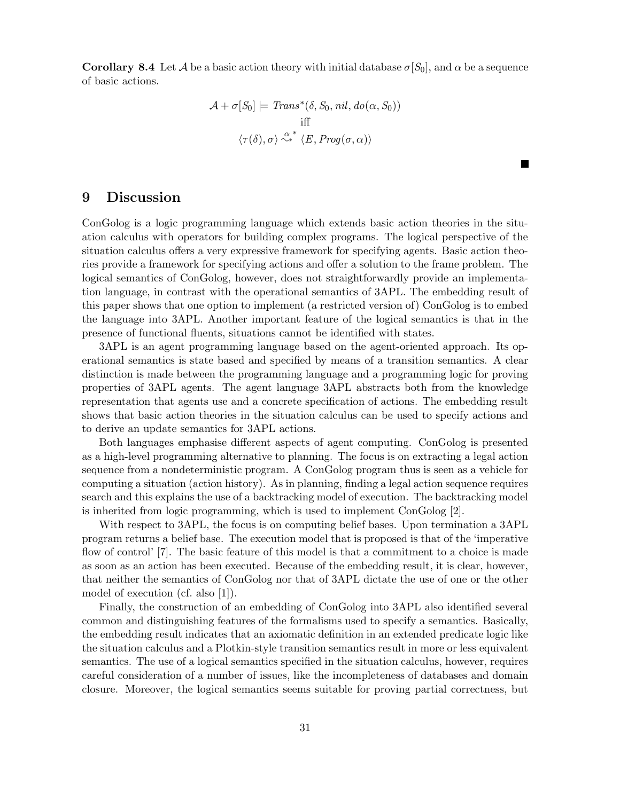**Corollary 8.4** Let A be a basic action theory with initial database  $\sigma[S_0]$ , and  $\alpha$  be a sequence of basic actions.

$$
\mathcal{A} + \sigma[S_0] \models \text{Trans}^*(\delta, S_0, \text{nil}, \text{do}(\alpha, S_0))
$$
  
iff  

$$
\langle \tau(\delta), \sigma \rangle \stackrel{\alpha^*}{\leadsto} \langle E, \text{Prog}(\sigma, \alpha) \rangle
$$

**The Second Service** 

### 9 Discussion

ConGolog is a logic programming language which extends basic action theories in the situation calculus with operators for building complex programs. The logical perspective of the situation calculus offers a very expressive framework for specifying agents. Basic action theories provide a framework for specifying actions and offer a solution to the frame problem. The logical semantics of ConGolog, however, does not straightforwardly provide an implementation language, in contrast with the operational semantics of 3APL. The embedding result of this paper shows that one option to implement (a restricted version of) ConGolog is to embed the language into 3APL. Another important feature of the logical semantics is that in the presence of functional fluents, situations cannot be identified with states.

3APL is an agent programming language based on the agent-oriented approach. Its operational semantics is state based and specified by means of a transition semantics. A clear distinction is made between the programming language and a programming logic for proving properties of 3APL agents. The agent language 3APL abstracts both from the knowledge representation that agents use and a concrete specification of actions. The embedding result shows that basic action theories in the situation calculus can be used to specify actions and to derive an update semantics for 3APL actions.

Both languages emphasise different aspects of agent computing. ConGolog is presented as a high-level programming alternative to planning. The focus is on extracting a legal action sequence from a nondeterministic program. A ConGolog program thus is seen as a vehicle for computing a situation (action history). As in planning, finding a legal action sequence requires search and this explains the use of a backtracking model of execution. The backtracking model is inherited from logic programming, which is used to implement ConGolog [2].

With respect to 3APL, the focus is on computing belief bases. Upon termination a 3APL program returns a belief base. The execution model that is proposed is that of the 'imperative flow of control' [7]. The basic feature of this model is that a commitment to a choice is made as soon as an action has been executed. Because of the embedding result, it is clear, however, that neither the semantics of ConGolog nor that of 3APL dictate the use of one or the other model of execution (cf. also [1]).

Finally, the construction of an embedding of ConGolog into 3APL also identified several common and distinguishing features of the formalisms used to specify a semantics. Basically, the embedding result indicates that an axiomatic definition in an extended predicate logic like the situation calculus and a Plotkin-style transition semantics result in more or less equivalent semantics. The use of a logical semantics specified in the situation calculus, however, requires careful consideration of a number of issues, like the incompleteness of databases and domain closure. Moreover, the logical semantics seems suitable for proving partial correctness, but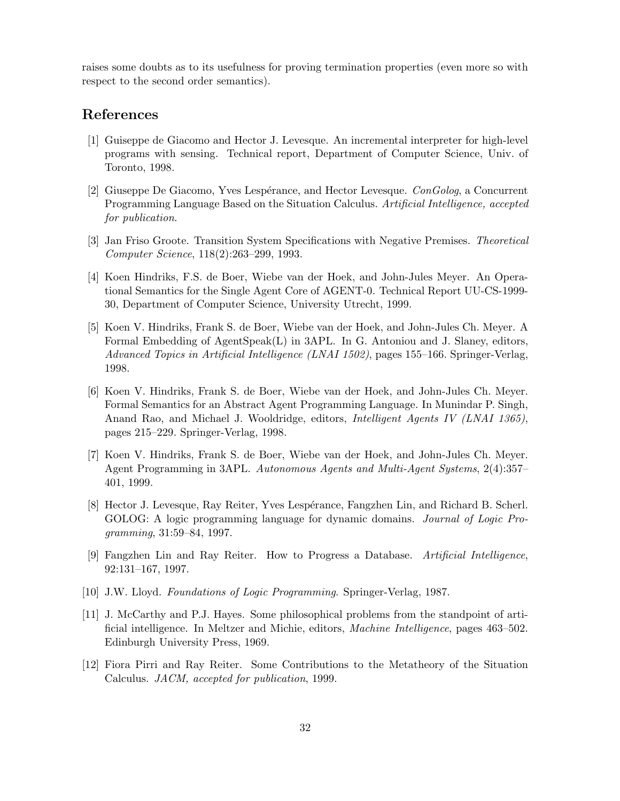raises some doubts as to its usefulness for proving termination properties (even more so with respect to the second order semantics).

### References

- [1] Guiseppe de Giacomo and Hector J. Levesque. An incremental interpreter for high-level programs with sensing. Technical report, Department of Computer Science, Univ. of Toronto, 1998.
- [2] Giuseppe De Giacomo, Yves Lespérance, and Hector Levesque.  $ConGolog$ , a Concurrent Programming Language Based on the Situation Calculus. Artificial Intelligence, accepted for publication.
- [3] Jan Friso Groote. Transition System Specifications with Negative Premises. Theoretical Computer Science, 118(2):263–299, 1993.
- [4] Koen Hindriks, F.S. de Boer, Wiebe van der Hoek, and John-Jules Meyer. An Operational Semantics for the Single Agent Core of AGENT-0. Technical Report UU-CS-1999- 30, Department of Computer Science, University Utrecht, 1999.
- [5] Koen V. Hindriks, Frank S. de Boer, Wiebe van der Hoek, and John-Jules Ch. Meyer. A Formal Embedding of AgentSpeak(L) in 3APL. In G. Antoniou and J. Slaney, editors, Advanced Topics in Artificial Intelligence (LNAI 1502), pages 155–166. Springer-Verlag, 1998.
- [6] Koen V. Hindriks, Frank S. de Boer, Wiebe van der Hoek, and John-Jules Ch. Meyer. Formal Semantics for an Abstract Agent Programming Language. In Munindar P. Singh, Anand Rao, and Michael J. Wooldridge, editors, Intelligent Agents IV (LNAI 1365), pages 215–229. Springer-Verlag, 1998.
- [7] Koen V. Hindriks, Frank S. de Boer, Wiebe van der Hoek, and John-Jules Ch. Meyer. Agent Programming in 3APL. Autonomous Agents and Multi-Agent Systems, 2(4):357– 401, 1999.
- [8] Hector J. Levesque, Ray Reiter, Yves Lesp´erance, Fangzhen Lin, and Richard B. Scherl. GOLOG: A logic programming language for dynamic domains. Journal of Logic Programming, 31:59–84, 1997.
- [9] Fangzhen Lin and Ray Reiter. How to Progress a Database. Artificial Intelligence, 92:131–167, 1997.
- [10] J.W. Lloyd. Foundations of Logic Programming. Springer-Verlag, 1987.
- [11] J. McCarthy and P.J. Hayes. Some philosophical problems from the standpoint of artificial intelligence. In Meltzer and Michie, editors, Machine Intelligence, pages 463–502. Edinburgh University Press, 1969.
- [12] Fiora Pirri and Ray Reiter. Some Contributions to the Metatheory of the Situation Calculus. JACM, accepted for publication, 1999.